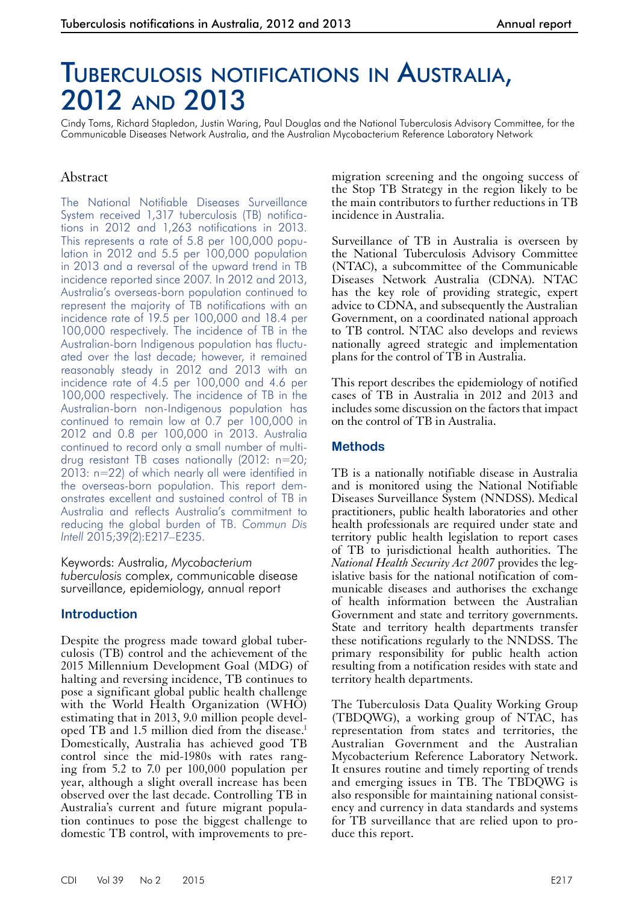# Tuberculosis notifications in Australia, 2012 and 2013

Cindy Toms, Richard Stapledon, Justin Waring, Paul Douglas and the National Tuberculosis Advisory Committee, for the Communicable Diseases Network Australia, and the Australian Mycobacterium Reference Laboratory Network

# Abstract

The National Notifiable Diseases Surveillance System received 1,317 tuberculosis (TB) notifications in 2012 and 1,263 notifications in 2013. This represents a rate of 5.8 per 100,000 population in 2012 and 5.5 per 100,000 population in 2013 and a reversal of the upward trend in TB incidence reported since 2007. In 2012 and 2013, Australia's overseas-born population continued to represent the majority of TB notifications with an incidence rate of 19.5 per 100,000 and 18.4 per 100,000 respectively. The incidence of TB in the Australian-born Indigenous population has fluctuated over the last decade; however, it remained reasonably steady in 2012 and 2013 with an incidence rate of 4.5 per 100,000 and 4.6 per 100,000 respectively. The incidence of TB in the Australian-born non-Indigenous population has continued to remain low at 0.7 per 100,000 in 2012 and 0.8 per 100,000 in 2013. Australia continued to record only a small number of multidrug resistant TB cases nationally (2012: n=20; 2013: n=22) of which nearly all were identified in the overseas-born population. This report demonstrates excellent and sustained control of TB in Australia and reflects Australia's commitment to reducing the global burden of TB. *Commun Dis Intell* 2015;39(2):E217–E235.

Keywords: Australia, *Mycobacterium tuberculosis* complex, communicable disease surveillance, epidemiology, annual report

## **Introduction**

Despite the progress made toward global tuberculosis (TB) control and the achievement of the 2015 Millennium Development Goal (MDG) of halting and reversing incidence, TB continues to pose a significant global public health challenge with the World Health Organization (WHO) estimating that in 2013, 9.0 million people devel-<br>oped TB and 1.5 million died from the disease.<sup>1</sup> Domestically, Australia has achieved good TB control since the mid-1980s with rates rang-<br>ing from 5.2 to 7.0 per 100,000 population per year, although a slight overall increase has been observed over the last decade. Controlling TB in Australia's current and future migrant population continues to pose the biggest challenge to domestic TB control, with improvements to premigration screening and the ongoing success of the Stop TB Strategy in the region likely to be the main contributors to further reductions in TB incidence in Australia.

Surveillance of TB in Australia is overseen by the National Tuberculosis Advisory Committee (NTAC), a subcommittee of the Communicable Diseases Network Australia (CDNA). NTAC has the key role of providing strategic, expert advice to CDNA, and subsequently the Australian Government, on a coordinated national approach to TB control. NTAC also develops and reviews nationally agreed strategic and implementation plans for the control of TB in Australia.

This report describes the epidemiology of notified cases of TB in Australia in 2012 and 2013 and includes some discussion on the factors that impact on the control of TB in Australia.

## **Methods**

TB is a nationally notifiable disease in Australia and is monitored using the National Notifiable Diseases Surveillance System (NNDSS). Medical practitioners, public health laboratories and other health professionals are required under state and territory public health legislation to report cases of TB to jurisdictional health authorities. The *National Health Security Act 2007* provides the legislative basis for the national notification of com-<br>municable diseases and authorises the exchange of health information between the Australian Government and state and territory governments. State and territory health departments transfer these notifications regularly to the NNDSS. The primary responsibility for public health action resulting from a notification resides with state and territory health departments.

The Tuberculosis Data Quality Working Group (TBDQWG), a working group of NTAC, has representation from states and territories, the Australian Government and the Australian Mycobacterium Reference Laboratory Network. It ensures routine and timely reporting of trends and emerging issues in TB. The TBDQWG is also responsible for maintaining national consistency and currency in data standards and systems for TB surveillance that are relied upon to produce this report.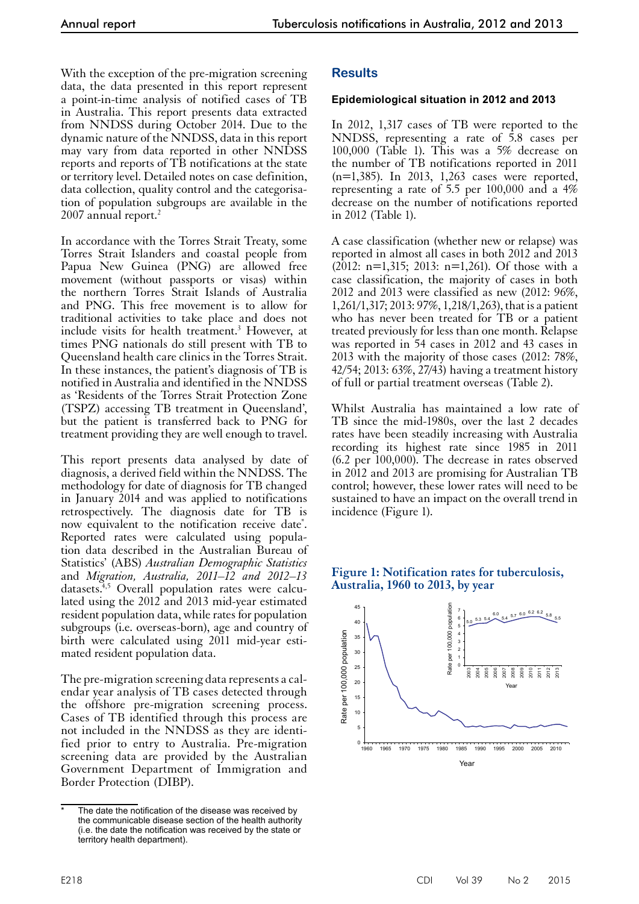With the exception of the pre-migration screening data, the data presented in this report represent a point-in-time analysis of notified cases of TB in Australia. This report presents data extracted from NNDSS during October 2014. Due to the dynamic nature of the NNDSS, data in this report may vary from data reported in other NNDSS reports and reports of TB notifications at the state or territory level. Detailed notes on case definition, data collection, quality control and the categorisation of population subgroups are available in the 2007 annual report.<sup>2</sup>

In accordance with the Torres Strait Treaty, some Torres Strait Islanders and coastal people from Papua New Guinea (PNG) are allowed free movement (without passports or visas) within the northern Torres Strait Islands of Australia and PNG. This free movement is to allow for traditional activities to take place and does not include visits for health treatment.<sup>3</sup> However, at times PNG nationals do still present with TB to Queensland health care clinics in the Torres Strait. In these instances, the patient's diagnosis of TB is notified in Australia and identified in the NNDSS as 'Residents of the Torres Strait Protection Zone (TSPZ) accessing TB treatment in Queensland', but the patient is transferred back to PNG for treatment providing they are well enough to travel.

This report presents data analysed by date of diagnosis, a derived field within the NNDSS. The methodology for date of diagnosis for TB changed in January 2014 and was applied to notifications retrospectively. The diagnosis date for TB is now equivalent to the notification receive date\* . Reported rates were calculated using popula- tion data described in the Australian Bureau of Statistics' (ABS) *Australian Demographic Statistics*  and *Migration, Australia, 2011–12 and 2012–13*  datasets.<sup>4,5</sup> Overall population rates were calculated using the 2012 and 2013 mid-year estimated resident population data, while rates for population subgroups (i.e. overseas-born), age and country of birth were calculated using 2011 mid-year estimated resident population data.

The pre-migration screening data represents a calendar year analysis of TB cases detected through the offshore pre-migration screening process. Cases of TB identified through this process are not included in the NNDSS as they are identi- fied prior to entry to Australia. Pre-migration screening data are provided by the Australian Government Department of Immigration and Border Protection (DIBP).

# **Results**

# **Epidemiological situation in 2012 and 2013**

In 2012, 1,317 cases of TB were reported to the NNDSS, representing a rate of 5.8 cases per 100,000 (Table 1). This was a 5% decrease on the number of TB notifications reported in 2011 (n=1,385). In 2013, 1,263 cases were reported, representing a rate of 5.5 per  $100,000$  and a  $4\%$ decrease on the number of notifications reported in 2012 (Table 1).

A case classification (whether new or relapse) was reported in almost all cases in both 2012 and 2013  $(2012: n=1,315; 2013: n=1,261)$ . Of those with a case classification, the majority of cases in both 2012 and 2013 were classified as new (2012: 96%, 1,261/1,317; 2013: 97%, 1,218/1,263), that is a patient who has never been treated for TB or a patient treated previously for less than one month. Relapse was reported in 54 cases in 2012 and 43 cases in 2013 with the majority of those cases (2012: 78%, 42/54; 2013: 63%, 27/43) having a treatment history of full or partial treatment overseas (Table 2).

Whilst Australia has maintained a low rate of TB since the mid-1980s, over the last 2 decades rates have been steadily increasing with Australia recording its highest rate since 1985 in 2011 (6.2 per 100,000). The decrease in rates observed in 2012 and 2013 are promising for Australian TB control; however, these lower rates will need to be sustained to have an impact on the overall trend in incidence (Figure 1).



## **Figure 1: Notification rates for tuberculosis, Australia, 1960 to 2013, by year**

The date the notification of the disease was received by the communicable disease section of the health authority (i.e. the date the notification was received by the state or territory health department).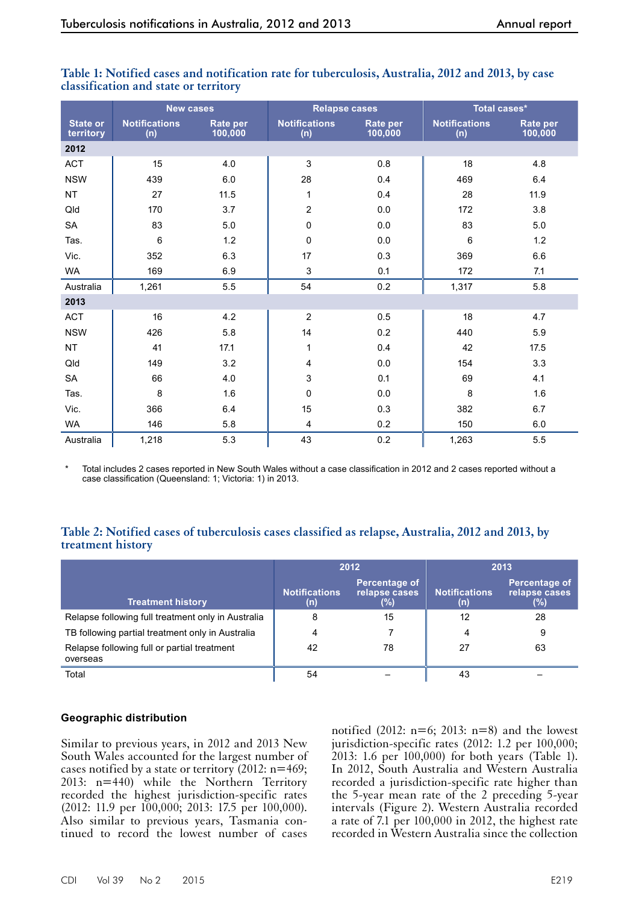|                              | <b>New cases</b>            |                            | <b>Relapse cases</b>        |                            | Total cases*                |                     |
|------------------------------|-----------------------------|----------------------------|-----------------------------|----------------------------|-----------------------------|---------------------|
| <b>State or</b><br>territory | <b>Notifications</b><br>(n) | <b>Rate per</b><br>100,000 | <b>Notifications</b><br>(n) | <b>Rate per</b><br>100,000 | <b>Notifications</b><br>(n) | Rate per<br>100,000 |
| 2012                         |                             |                            |                             |                            |                             |                     |
| <b>ACT</b>                   | 15                          | 4.0                        | 3                           | 0.8                        | 18                          | 4.8                 |
| <b>NSW</b>                   | 439                         | 6.0                        | 28                          | 0.4                        | 469                         | 6.4                 |
| <b>NT</b>                    | 27                          | 11.5                       | 1                           | 0.4                        | 28                          | 11.9                |
| Qld                          | 170                         | 3.7                        | 2                           | 0.0                        | 172                         | 3.8                 |
| SA                           | 83                          | 5.0                        | 0                           | $0.0\,$                    | 83                          | 5.0                 |
| Tas.                         | $\,6\,$                     | 1.2                        | 0                           | $0.0\,$                    | 6                           | 1.2                 |
| Vic.                         | 352                         | 6.3                        | 17                          | 0.3                        | 369                         | 6.6                 |
| WA                           | 169                         | 6.9                        | 3                           | 0.1                        | 172                         | 7.1                 |
| Australia                    | 1,261                       | 5.5                        | 54                          | 0.2                        | 1,317                       | 5.8                 |
| 2013                         |                             |                            |                             |                            |                             |                     |
| <b>ACT</b>                   | 16                          | 4.2                        | $\overline{2}$              | 0.5                        | 18                          | 4.7                 |
| <b>NSW</b>                   | 426                         | 5.8                        | 14                          | 0.2                        | 440                         | 5.9                 |
| <b>NT</b>                    | 41                          | 17.1                       | 1                           | 0.4                        | 42                          | 17.5                |
| Qld                          | 149                         | 3.2                        | 4                           | 0.0                        | 154                         | 3.3                 |
| SA                           | 66                          | 4.0                        | $\mathsf 3$                 | 0.1                        | 69                          | 4.1                 |
| Tas.                         | 8                           | 1.6                        | 0                           | 0.0                        | 8                           | 1.6                 |
| Vic.                         | 366                         | 6.4                        | 15                          | 0.3                        | 382                         | 6.7                 |
| <b>WA</b>                    | 146                         | 5.8                        | 4                           | 0.2                        | 150                         | 6.0                 |
| Australia                    | 1,218                       | 5.3                        | 43                          | 0.2                        | 1,263                       | 5.5                 |

## **Table 1: Notified cases and notification rate for tuberculosis, Australia, 2012 and 2013, by case classification and state or territory**

Total includes 2 cases reported in New South Wales without a case classification in 2012 and 2 cases reported without a case classification (Queensland: 1; Victoria: 1) in 2013.

## **Table 2: Notified cases of tuberculosis cases classified as relapse, Australia, 2012 and 2013, by treatment history**

|                                                         |                             | 2012                                     | 2013                        |                                       |  |
|---------------------------------------------------------|-----------------------------|------------------------------------------|-----------------------------|---------------------------------------|--|
| <b>Treatment history</b>                                | <b>Notifications</b><br>(n) | Percentage of<br>relapse cases<br>$(\%)$ | <b>Notifications</b><br>(n) | Percentage of<br>relapse cases<br>(%) |  |
| Relapse following full treatment only in Australia      | 8                           | 15                                       | 12                          | 28                                    |  |
| TB following partial treatment only in Australia        | 4                           |                                          | 4                           | 9                                     |  |
| Relapse following full or partial treatment<br>overseas | 42                          | 78                                       | 27                          | 63                                    |  |
| Total                                                   | 54                          |                                          | 43                          |                                       |  |

## **Geographic distribution**

Similar to previous years, in 2012 and 2013 New South Wales accounted for the largest number of cases notified by a state or territory  $(2012: n=469;$ 2013: n=440) while the Northern Territory recorded the highest jurisdiction-specific rates (2012: 11.9 per 100,000; 2013: 17.5 per 100,000). Also similar to previous years, Tasmania continued to record the lowest number of cases

notified (2012:  $n=6$ ; 2013:  $n=8$ ) and the lowest jurisdiction-specific rates (2012: 1.2 per 100,000; 2013: 1.6 per 100,000) for both years (Table 1). In 2012, South Australia and Western Australia recorded a jurisdiction-specific rate higher than the 5-year mean rate of the 2 preceding 5-year intervals (Figure 2). Western Australia recorded a rate of 7.1 per 100,000 in 2012, the highest rate recorded in Western Australia since the collection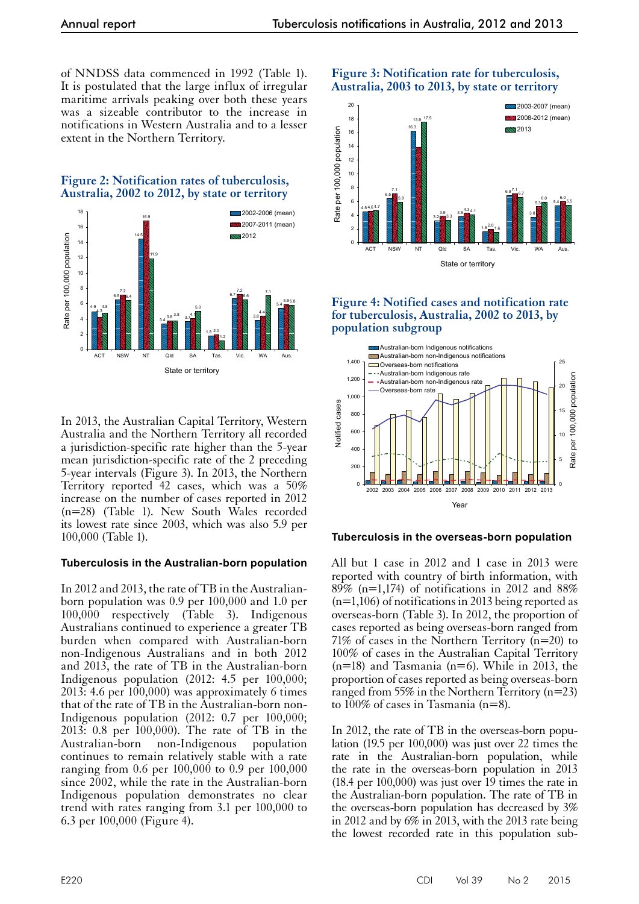of NNDSS data commenced in 1992 (Table 1). It is postulated that the large influx of irregular maritime arrivals peaking over both these years was a sizeable contributor to the increase in notifications in Western Australia and to a lesser extent in the Northern Territory.





In 2013, the Australian Capital Territory, Western Australia and the Northern Territory all recorded a jurisdiction-specific rate higher than the 5-year mean jurisdiction-specific rate of the 2 preceding 5-year intervals (Figure 3). In 2013, the Northern Territory reported 42 cases, which was a 50% increase on the number of cases reported in 2012 (n=28) (Table 1). New South Wales recorded its lowest rate since 2003, which was also 5.9 per 100,000 (Table 1).

#### **Tuberculosis in the Australian-born population**

In 2012 and 2013, the rate of TB in the Australianborn population was 0.9 per 100,000 and 1.0 per 100,000 respectively (Table 3). Indigenous Australians continued to experience a greater TB burden when compared with Australian-born non-Indigenous Australians and in both 2012 and 2013, the rate of TB in the Australian-born Indigenous population (2012: 4.5 per 100,000; 2013: 4.6 per 100,000) was approximately 6 times that of the rate of TB in the Australian-born non-Indigenous population (2012: 0.7 per 100,000; 2013: 0.8 per 100,000). The rate of TB in the Australian-born non-Indigenous population continues to remain relatively stable with a rate ranging from 0.6 per 100,000 to 0.9 per 100,000 since 2002, while the rate in the Australian-born Indigenous population demonstrates no clear trend with rates ranging from 3.1 per 100,000 to 6.3 per 100,000 (Figure 4).

## **Figure 3: Notification rate for tuberculosis, Australia, 2003 to 2013, by state or territory**



## **Figure 4: Notified cases and notification rate for tuberculosis, Australia, 2002 to 2013, by population subgroup**



#### **Tuberculosis in the overseas-born population**

All but 1 case in 2012 and 1 case in 2013 were reported with country of birth information, with  $89\%$  (n=1,174) of notifications in 2012 and  $88\%$ (n=1,106) of notifications in 2013 being reported as overseas-born (Table 3). In 2012, the proportion of cases reported as being overseas-born ranged from 71% of cases in the Northern Territory  $(n=20)$  to 100% of cases in the Australian Capital Territory  $(n=18)$  and Tasmania  $(n=6)$ . While in 2013, the proportion of cases reported as being overseas-born ranged from 55% in the Northern Territory (n=23) to 100% of cases in Tasmania (n=8).

In 2012, the rate of TB in the overseas-born popu- lation (19.5 per 100,000) was just over 22 times the rate in the Australian-born population, while the rate in the overseas-born population in 2013  $(18.4 \text{ per } 100,000)$  was just over  $19$  times the rate in the Australian-born population. The rate of TB in the overseas-born population has decreased by 3% in 2012 and by 6% in 2013, with the 2013 rate being the lowest recorded rate in this population sub-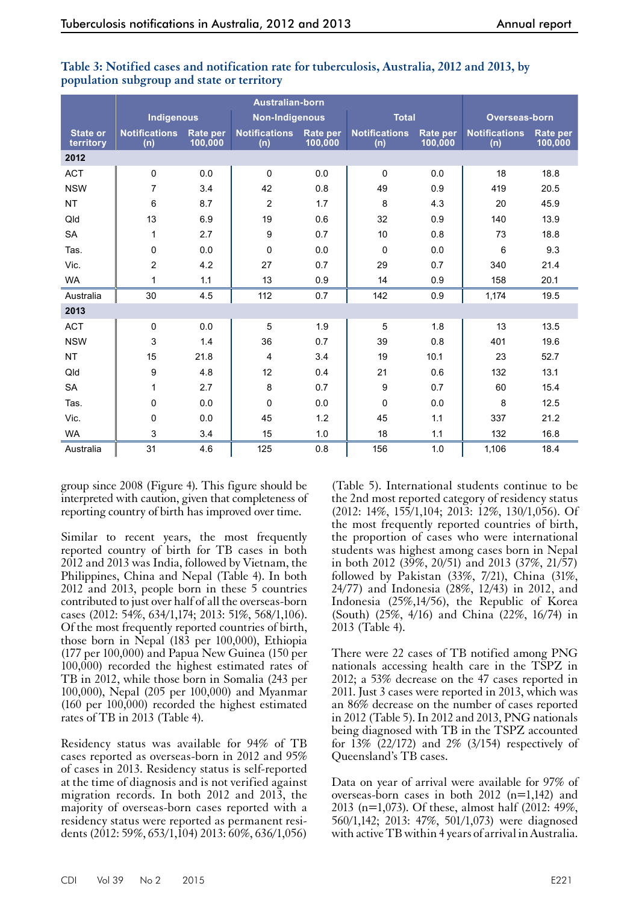|                              | Indigenous                  |                            | <b>Non-Indigenous</b>       |                            | <b>Total</b>                |                     | <b>Overseas-born</b>        |                            |
|------------------------------|-----------------------------|----------------------------|-----------------------------|----------------------------|-----------------------------|---------------------|-----------------------------|----------------------------|
| <b>State or</b><br>territory | <b>Notifications</b><br>(n) | <b>Rate per</b><br>100,000 | <b>Notifications</b><br>(n) | <b>Rate per</b><br>100,000 | <b>Notifications</b><br>(n) | Rate per<br>100,000 | <b>Notifications</b><br>(n) | <b>Rate per</b><br>100,000 |
| 2012                         |                             |                            |                             |                            |                             |                     |                             |                            |
| <b>ACT</b>                   | $\mathbf 0$                 | 0.0                        | $\mathbf 0$                 | 0.0                        | $\mathbf 0$                 | 0.0                 | 18                          | 18.8                       |
| <b>NSW</b>                   | $\overline{7}$              | 3.4                        | 42                          | 0.8                        | 49                          | 0.9                 | 419                         | 20.5                       |
| <b>NT</b>                    | 6                           | 8.7                        | $\overline{c}$              | 1.7                        | 8                           | 4.3                 | 20                          | 45.9                       |
| Qld                          | 13                          | 6.9                        | 19                          | 0.6                        | 32                          | 0.9                 | 140                         | 13.9                       |
| <b>SA</b>                    | 1                           | 2.7                        | 9                           | 0.7                        | 10                          | 0.8                 | 73                          | 18.8                       |
| Tas.                         | 0                           | 0.0                        | 0                           | 0.0                        | $\Omega$                    | 0.0                 | 6                           | 9.3                        |
| Vic.                         | $\overline{c}$              | 4.2                        | 27                          | 0.7                        | 29                          | 0.7                 | 340                         | 21.4                       |
| <b>WA</b>                    | 1                           | 1.1                        | 13                          | 0.9                        | 14                          | 0.9                 | 158                         | 20.1                       |
| Australia                    | 30                          | 4.5                        | 112                         | 0.7                        | 142                         | 0.9                 | 1,174                       | 19.5                       |
| 2013                         |                             |                            |                             |                            |                             |                     |                             |                            |
| <b>ACT</b>                   | $\pmb{0}$                   | 0.0                        | 5                           | 1.9                        | 5                           | 1.8                 | 13                          | 13.5                       |
| <b>NSW</b>                   | 3                           | 1.4                        | 36                          | 0.7                        | 39                          | 0.8                 | 401                         | 19.6                       |
| <b>NT</b>                    | 15                          | 21.8                       | 4                           | 3.4                        | 19                          | 10.1                | 23                          | 52.7                       |
| Qld                          | 9                           | 4.8                        | 12                          | 0.4                        | 21                          | 0.6                 | 132                         | 13.1                       |
| <b>SA</b>                    | 1                           | 2.7                        | 8                           | 0.7                        | 9                           | 0.7                 | 60                          | 15.4                       |
| Tas.                         | 0                           | 0.0                        | 0                           | 0.0                        | $\mathbf 0$                 | 0.0                 | 8                           | 12.5                       |
| Vic.                         | 0                           | 0.0                        | 45                          | 1.2                        | 45                          | 1.1                 | 337                         | 21.2                       |
| <b>WA</b>                    | 3                           | 3.4                        | 15                          | 1.0                        | 18                          | 1.1                 | 132                         | 16.8                       |
| Australia                    | 31                          | 4.6                        | 125                         | 0.8                        | 156                         | 1.0                 | 1,106                       | 18.4                       |

## **Table 3: Notified cases and notification rate for tuberculosis, Australia, 2012 and 2013, by population subgroup and state or territory**

group since 2008 (Figure 4). This figure should be interpreted with caution, given that completeness of reporting country of birth has improved over time.

Similar to recent years, the most frequently reported country of birth for TB cases in both 2012 and 2013 was India, followed by Vietnam, the Philippines, China and Nepal (Table 4). In both 2012 and 2013, people born in these 5 countries contributed to just over half of all the overseas-born cases (2012: 54%, 634/1,174; 2013: 51%, 568/1,106). Of the most frequently reported countries of birth, those born in Nepal (183 per 100,000), Ethiopia (177 per 100,000) and Papua New Guinea (150 per  $100,000$  recorded the highest estimated rates of TB in 2012, while those born in Somalia (243 per 100,000), Nepal (205 per 100,000) and Myanmar (160 per 100,000) recorded the highest estimated rates of TB in 2013 (Table 4).

Residency status was available for 94% of TB cases reported as overseas-born in 2012 and 95% of cases in 2013. Residency status is self-reported at the time of diagnosis and is not verified against migration records. In both 2012 and 2013, the majority of overseas-born cases reported with a residency status were reported as permanent residents (2012: 59%, 653/1,104) 2013: 60%, 636/1,056)

(Table 5). International students continue to be the 2nd most reported category of residency status (2012: 14%, 155/1,104; 2013: 12%, 130/1,056). Of the most frequently reported countries of birth, the proportion of cases who were international students was highest among cases born in Nepal in both 2012 (39%, 20/51) and 2013 (37%, 21/57) followed by Pakistan (33%, 7/21), China (31%, 24/77) and Indonesia (28%, 12/43) in 2012, and Indonesia (25%,14/56), the Republic of Korea (South) (25%, 4/16) and China (22%, 16/74) in 2013 (Table 4).

There were 22 cases of TB notified among PNG nationals accessing health care in the TSPZ in 2012; a 53% decrease on the 47 cases reported in 2011. Just 3 cases were reported in 2013, which was an 86% decrease on the number of cases reported in 2012 (Table 5). In 2012 and 2013, PNG nationals being diagnosed with TB in the TSPZ accounted for 13% (22/172) and 2% (3/154) respectively of Queensland's TB cases.

Data on year of arrival were available for 97% of overseas-born cases in both 2012 (n=1,142) and 2013 (n=1,073). Of these, almost half (2012: 49%, 560/1,142; 2013: 47%, 501/1,073) were diagnosed with active TB within 4 years of arrival in Australia.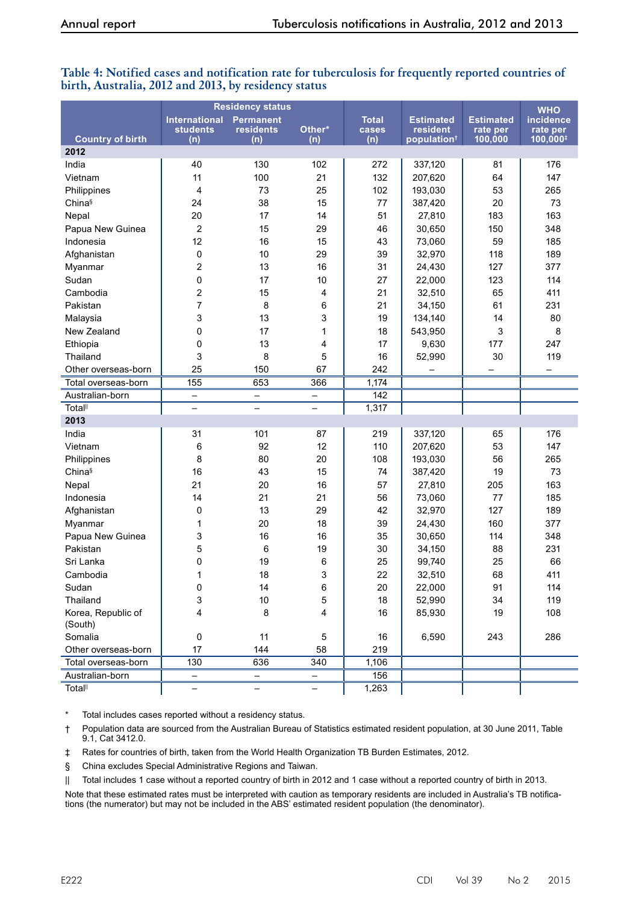|                         | <b>Residency status</b>                        |                                             |                          |                              |                                                         | <b>WHO</b>                              |                                      |
|-------------------------|------------------------------------------------|---------------------------------------------|--------------------------|------------------------------|---------------------------------------------------------|-----------------------------------------|--------------------------------------|
| <b>Country of birth</b> | <b>International</b><br><b>students</b><br>(n) | <b>Permanent</b><br><b>residents</b><br>(n) | Other*<br>(n)            | <b>Total</b><br>cases<br>(n) | <b>Estimated</b><br>resident<br>population <sup>+</sup> | <b>Estimated</b><br>rate per<br>100,000 | incidence<br>rate per<br>$100,000^+$ |
| 2012                    |                                                |                                             |                          |                              |                                                         |                                         |                                      |
| India                   | 40                                             | 130                                         | 102                      | 272                          | 337,120                                                 | 81                                      | 176                                  |
| Vietnam                 | 11                                             | 100                                         | 21                       | 132                          | 207,620                                                 | 64                                      | 147                                  |
| Philippines             | 4                                              | 73                                          | 25                       | 102                          | 193,030                                                 | 53                                      | 265                                  |
| Chinas                  | 24                                             | 38                                          | 15                       | 77                           | 387,420                                                 | 20                                      | 73                                   |
| Nepal                   | 20                                             | 17                                          | 14                       | 51                           | 27,810                                                  | 183                                     | 163                                  |
| Papua New Guinea        | $\overline{2}$                                 | 15                                          | 29                       | 46                           | 30,650                                                  | 150                                     | 348                                  |
| Indonesia               | 12                                             | 16                                          | 15                       | 43                           | 73,060                                                  | 59                                      | 185                                  |
| Afghanistan             | 0                                              | 10                                          | 29                       | 39                           | 32,970                                                  | 118                                     | 189                                  |
| Myanmar                 | $\overline{c}$                                 | 13                                          | 16                       | 31                           | 24,430                                                  | 127                                     | 377                                  |
| Sudan                   | 0                                              | 17                                          | 10                       | 27                           | 22,000                                                  | 123                                     | 114                                  |
| Cambodia                | $\overline{c}$                                 | 15                                          | 4                        | 21                           | 32,510                                                  | 65                                      | 411                                  |
| Pakistan                | $\overline{7}$                                 | 8                                           | 6                        | 21                           | 34,150                                                  | 61                                      | 231                                  |
| Malaysia                | 3                                              | 13                                          | 3                        | 19                           | 134,140                                                 | 14                                      | 80                                   |
| New Zealand             | 0                                              | 17                                          | 1                        | 18                           | 543,950                                                 | $\mathbf{3}$                            | 8                                    |
| Ethiopia                | 0                                              | 13                                          | 4                        | 17                           | 9,630                                                   | 177                                     | 247                                  |
| Thailand                | 3                                              | 8                                           | 5                        | 16                           | 52,990                                                  | 30                                      | 119                                  |
| Other overseas-born     | 25                                             | 150                                         | 67                       | 242                          |                                                         |                                         |                                      |
| Total overseas-born     | 155                                            | 653                                         | 366                      | 1,174                        |                                                         |                                         |                                      |
| Australian-born         | -                                              | -                                           | -                        | 142                          |                                                         |                                         |                                      |
| <b>Total</b>            | $\overline{\phantom{0}}$                       | $\overline{\phantom{0}}$                    | $\overline{\phantom{0}}$ | 1,317                        |                                                         |                                         |                                      |
| 2013                    |                                                |                                             |                          |                              |                                                         |                                         |                                      |
| India                   | 31                                             | 101                                         | 87                       | 219                          | 337,120                                                 | 65                                      | 176                                  |
| Vietnam                 | 6                                              | 92                                          | 12                       | 110                          | 207,620                                                 | 53                                      | 147                                  |
| Philippines             | 8                                              | 80                                          | 20                       | 108                          | 193,030                                                 | 56                                      | 265                                  |
| Chinas                  | 16                                             | 43                                          | 15                       | 74                           | 387,420                                                 | 19                                      | 73                                   |
| Nepal                   | 21                                             | 20                                          | 16                       | 57                           | 27,810                                                  | 205                                     | 163                                  |
| Indonesia               | 14                                             | 21                                          | 21                       | 56                           | 73,060                                                  | 77                                      | 185                                  |
| Afghanistan             | 0                                              | 13                                          | 29                       | 42                           | 32,970                                                  | 127                                     | 189                                  |
| Myanmar                 | 1                                              | 20                                          | 18                       | 39                           | 24,430                                                  | 160                                     | 377                                  |
| Papua New Guinea        | 3                                              | 16                                          | 16                       | 35                           | 30,650                                                  | 114                                     | 348                                  |
| Pakistan                | 5                                              | 6                                           | 19                       | 30                           | 34,150                                                  | 88                                      | 231                                  |
| Sri Lanka               | 0                                              | 19                                          | 6                        | 25                           | 99,740                                                  | 25                                      | 66                                   |
| Cambodia                | 1                                              | 18                                          | 3                        | 22                           | 32,510                                                  | 68                                      | 411                                  |
| Sudan                   | 0                                              | 14                                          | 6                        | 20                           | 22,000                                                  | 91                                      | 114                                  |
| Thailand                | 3                                              | 10                                          | 5                        | 18                           | 52,990                                                  | 34                                      | 119                                  |
| Korea, Republic of      | 4                                              | 8                                           | 4                        | 16                           | 85,930                                                  | 19                                      | 108                                  |
| (South)                 |                                                |                                             |                          |                              |                                                         |                                         |                                      |
| Somalia                 | 0                                              | 11                                          | 5                        | 16                           | 6,590                                                   | 243                                     | 286                                  |
| Other overseas-born     | 17                                             | 144                                         | 58                       | 219                          |                                                         |                                         |                                      |
| Total overseas-born     | 130                                            | 636                                         | 340                      | 1,106                        |                                                         |                                         |                                      |
| Australian-born         | -                                              | -                                           | -                        | 156                          |                                                         |                                         |                                      |
| <b>Totalll</b>          | -                                              | -                                           | -                        | 1,263                        |                                                         |                                         |                                      |

## **Table 4: Notified cases and notification rate for tuberculosis for frequently reported countries of birth, Australia, 2012 and 2013, by residency status**

\* Total includes cases reported without a residency status.

† Population data are sourced from the Australian Bureau of Statistics estimated resident population, at 30 June 2011, Table 9.1, Cat 3412.0.

‡ Rates for countries of birth, taken from the World Health Organization TB Burden Estimates, 2012.

§ China excludes Special Administrative Regions and Taiwan.

|| Total includes 1 case without a reported country of birth in 2012 and 1 case without a reported country of birth in 2013.

Note that these estimated rates must be interpreted with caution as temporary residents are included in Australia's TB notifications (the numerator) but may not be included in the ABS' estimated resident population (the denominator).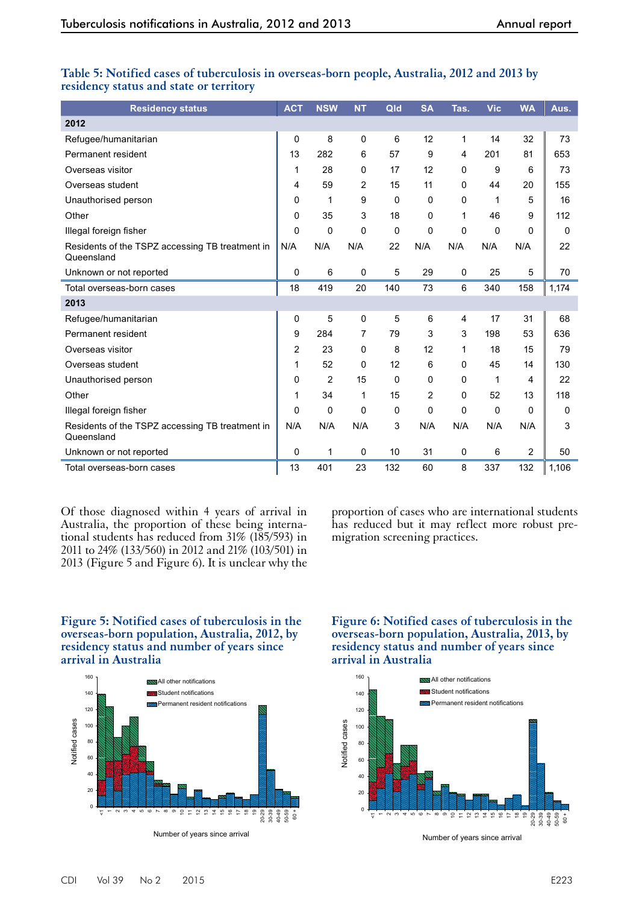| <b>Residency status</b>                                       | <b>ACT</b> | <b>NSW</b> | <b>NT</b>      | Qld         | <b>SA</b>      | Tas.        | <b>Vic</b> | <b>WA</b> | Aus.  |
|---------------------------------------------------------------|------------|------------|----------------|-------------|----------------|-------------|------------|-----------|-------|
| 2012                                                          |            |            |                |             |                |             |            |           |       |
| Refugee/humanitarian                                          | 0          | 8          | 0              | 6           | 12             | 1           | 14         | 32        | 73    |
| Permanent resident                                            | 13         | 282        | 6              | 57          | 9              | 4           | 201        | 81        | 653   |
| Overseas visitor                                              | 1          | 28         | 0              | 17          | 12             | 0           | 9          | 6         | 73    |
| Overseas student                                              | 4          | 59         | $\overline{2}$ | 15          | 11             | 0           | 44         | 20        | 155   |
| Unauthorised person                                           | 0          | 1          | 9              | 0           | 0              | $\mathbf 0$ | 1          | 5         | 16    |
| Other                                                         | 0          | 35         | 3              | 18          | 0              | 1           | 46         | 9         | 112   |
| Illegal foreign fisher                                        | $\Omega$   | 0          | 0              | 0           | 0              | 0           | 0          | 0         | 0     |
| Residents of the TSPZ accessing TB treatment in<br>Queensland | N/A        | N/A        | N/A            | 22          | N/A            | N/A         | N/A        | N/A       | 22    |
| Unknown or not reported                                       | 0          | 6          | $\pmb{0}$      | 5           | 29             | $\pmb{0}$   | 25         | 5         | 70    |
| Total overseas-born cases                                     | 18         | 419        | 20             | 140         | 73             | 6           | 340        | 158       | 1,174 |
| 2013                                                          |            |            |                |             |                |             |            |           |       |
| Refugee/humanitarian                                          | 0          | 5          | $\mathsf 0$    | 5           | 6              | 4           | 17         | 31        | 68    |
| Permanent resident                                            | 9          | 284        | 7              | 79          | 3              | 3           | 198        | 53        | 636   |
| Overseas visitor                                              | 2          | 23         | $\Omega$       | 8           | 12             | 1           | 18         | 15        | 79    |
| Overseas student                                              | 1          | 52         | 0              | 12          | 6              | 0           | 45         | 14        | 130   |
| Unauthorised person                                           | 0          | 2          | 15             | $\mathbf 0$ | 0              | $\mathbf 0$ | 1          | 4         | 22    |
| Other                                                         | 1          | 34         | 1              | 15          | $\overline{2}$ | $\mathbf 0$ | 52         | 13        | 118   |
| Illegal foreign fisher                                        | 0          | 0          | 0              | 0           | 0              | 0           | 0          | $\Omega$  | 0     |
| Residents of the TSPZ accessing TB treatment in<br>Queensland | N/A        | N/A        | N/A            | 3           | N/A            | N/A         | N/A        | N/A       | 3     |
| Unknown or not reported                                       | 0          | 1          | $\mathbf 0$    | 10          | 31             | 0           | 6          | 2         | 50    |
| Total overseas-born cases                                     | 13         | 401        | 23             | 132         | 60             | 8           | 337        | 132       | 1,106 |

## **Table 5: Notified cases of tuberculosis in overseas-born people, Australia, 2012 and 2013 by residency status and state or territory**

Of those diagnosed within 4 years of arrival in Australia, the proportion of these being interna- tional students has reduced from 31% (185/593) in 2011 to 24% (133/560) in 2012 and 21% (103/501) in 2013 (Figure 5 and Figure 6). It is unclear why the proportion of cases who are international students has reduced but it may reflect more robust premigration screening practices.

#### **Figure 5: Notified cases of tuberculosis in the overseas-born population, Australia, 2012, by residency status and number of years since arrival in Australia**



## **Figure 6: Notified cases of tuberculosis in the overseas-born population, Australia, 2013, by residency status and number of years since arrival in Australia**



Number of years since arrival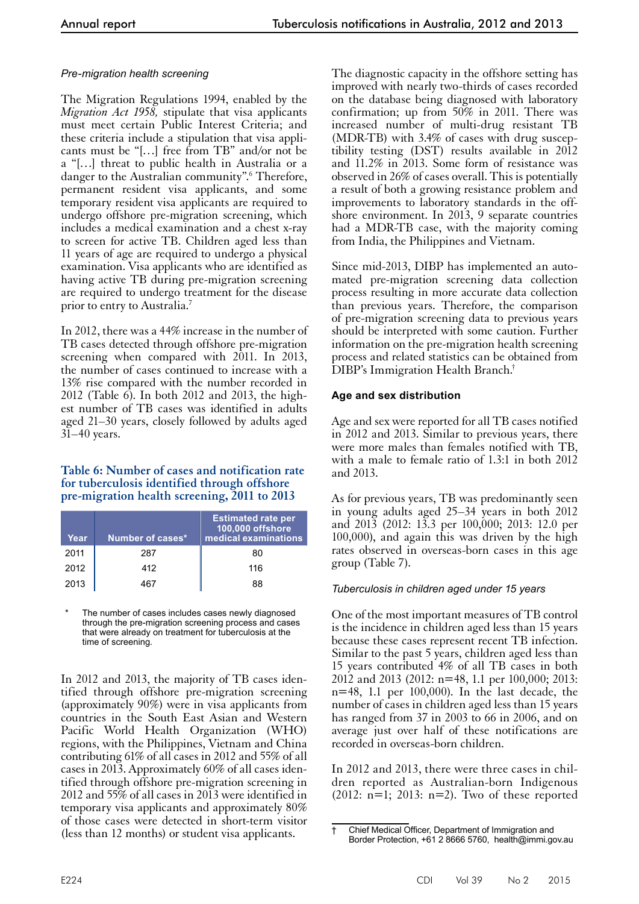## *Pre-migration health screening*

The Migration Regulations 1994, enabled by the *Migration Act 1958,* stipulate that visa applicants must meet certain Public Interest Criteria; and these criteria include a stipulation that visa applicants must be "[…] free from TB" and/or not be a "[…] threat to public health in Australia or a danger to the Australian community".<sup>6</sup> Therefore, permanent resident visa applicants, and some temporary resident visa applicants are required to undergo offshore pre-migration screening, which includes a medical examination and a chest x-ray to screen for active TB. Children aged less than 11 years of age are required to undergo a physical examination. Visa applicants who are identified as having active TB during pre-migration screening are required to undergo treatment for the disease prior to entry to Australia.7

In 2012, there was a 44% increase in the number of TB cases detected through offshore pre-migration screening when compared with 2011. In 2013, the number of cases continued to increase with a 13% rise compared with the number recorded in 2012 (Table 6). In both 2012 and 2013, the highest number of TB cases was identified in adults aged 21–30 years, closely followed by adults aged 31–40 years.

#### **Table 6: Number of cases and notification rate for tuberculosis identified through offshore pre-migration health screening, 2011 to 2013**

| Year | Number of cases* | <b>Estimated rate per</b><br>100,000 offshore<br>medical examinations |
|------|------------------|-----------------------------------------------------------------------|
| 2011 | 287              | 80                                                                    |
| 2012 | 412              | 116                                                                   |
| 2013 | 467              | 88                                                                    |

The number of cases includes cases newly diagnosed through the pre-migration screening process and cases that were already on treatment for tuberculosis at the time of screening.

In 2012 and 2013, the majority of TB cases identified through offshore pre-migration screening (approximately 90%) were in visa applicants from countries in the South East Asian and Western Pacific World Health Organization (WHO) regions, with the Philippines, Vietnam and China contributing 61% of all cases in 2012 and 55% of all cases in 2013. Approximately 60% of all cases identified through offshore pre-migration screening in 2012 and 55% of all cases in 2013 were identified in temporary visa applicants and approximately 80% of those cases were detected in short-term visitor (less than 12 months) or student visa applicants.

The diagnostic capacity in the offshore setting has improved with nearly two-thirds of cases recorded on the database being diagnosed with laboratory confirmation; up from 50% in 2011. There was increased number of multi-drug resistant TB (MDR-TB) with 3.4% of cases with drug susceptibility testing (DST) results available in 2012 and 11.2% in 2013. Some form of resistance was observed in 26% of cases overall. This is potentially a result of both a growing resistance problem and improvements to laboratory standards in the offshore environment. In 2013, 9 separate countries had a MDR-TB case, with the majority coming from India, the Philippines and Vietnam.

Since mid-2013, DIBP has implemented an automated pre-migration screening data collection process resulting in more accurate data collection than previous years. Therefore, the comparison of pre-migration screening data to previous years should be interpreted with some caution. Further information on the pre-migration health screening process and related statistics can be obtained from DIBP's Immigration Health Branch.†

## **Age and sex distribution**

Age and sex were reported for all TB cases notified in 2012 and 2013. Similar to previous years, there were more males than females notified with TB, with a male to female ratio of 1.3:1 in both 2012 and 2013.

As for previous years, TB was predominantly seen in young adults aged 25–34 years in both 2012 and 2013 (2012: 13.3 per 100,000; 2013: 12.0 per 100,000), and again this was driven by the high rates observed in overseas-born cases in this age group (Table 7).

## *Tuberculosis in children aged under 15 years*

One of the most important measures of TB control is the incidence in children aged less than 15 years because these cases represent recent TB infection. Similar to the past 5 years, children aged less than 15 years contributed 4% of all TB cases in both 2012 and 2013 (2012: n=48, 1.1 per 100,000; 2013: n=48, 1.1 per 100,000). In the last decade, the number of cases in children aged less than 15 years has ranged from 37 in 2003 to 66 in 2006, and on average just over half of these notifications are recorded in overseas-born children.

In 2012 and 2013, there were three cases in children reported as Australian-born Indigenous (2012:  $n=1$ ; 2013:  $n=2$ ). Two of these reported

<sup>†</sup> Chief Medical Officer, Department of Immigration and Border Protection, +61 2 8666 5760, [health@immi.gov.au](mailto:health@immi.gov.au)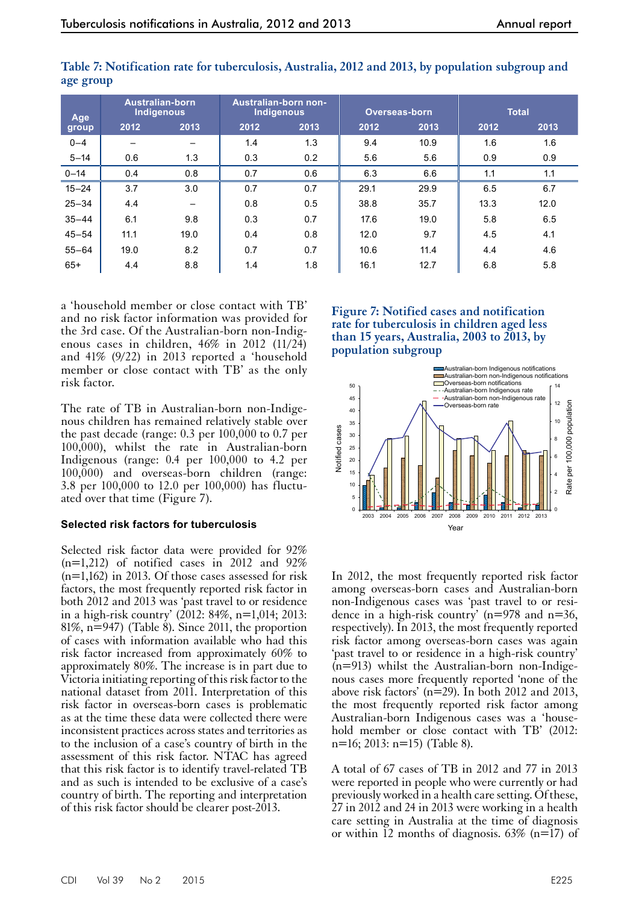| Age       | <b>Australian-born</b><br>Indigenous |      | Australian-born non-<br>Indigenous |      |      | Overseas-born |      | <b>Total</b> |
|-----------|--------------------------------------|------|------------------------------------|------|------|---------------|------|--------------|
| group     | 2012                                 | 2013 | 2012                               | 2013 | 2012 | 2013          | 2012 | 2013         |
| $0 - 4$   | $\overline{\phantom{0}}$             |      | 1.4                                | 1.3  | 9.4  | 10.9          | 1.6  | 1.6          |
| $5 - 14$  | 0.6                                  | 1.3  | 0.3                                | 0.2  | 5.6  | 5.6           | 0.9  | 0.9          |
| $0 - 14$  | 0.4                                  | 0.8  | 0.7                                | 0.6  | 6.3  | 6.6           | 1.1  | 1.1          |
| $15 - 24$ | 3.7                                  | 3.0  | 0.7                                | 0.7  | 29.1 | 29.9          | 6.5  | 6.7          |
| $25 - 34$ | 4.4                                  |      | 0.8                                | 0.5  | 38.8 | 35.7          | 13.3 | 12.0         |
| $35 - 44$ | 6.1                                  | 9.8  | 0.3                                | 0.7  | 17.6 | 19.0          | 5.8  | 6.5          |
| $45 - 54$ | 11.1                                 | 19.0 | 0.4                                | 0.8  | 12.0 | 9.7           | 4.5  | 4.1          |
| $55 - 64$ | 19.0                                 | 8.2  | 0.7                                | 0.7  | 10.6 | 11.4          | 4.4  | 4.6          |
| $65+$     | 4.4                                  | 8.8  | 1.4                                | 1.8  | 16.1 | 12.7          | 6.8  | 5.8          |

**Table 7: Notification rate for tuberculosis, Australia, 2012 and 2013, by population subgroup and age group**

a 'household member or close contact with TB' and no risk factor information was provided for the 3rd case. Of the Australian-born non-Indigenous cases in children, 46% in 2012 (11/24) and 41% (9/22) in 2013 reported a 'household member or close contact with TB' as the only risk factor.

The rate of TB in Australian-born non-Indigenous children has remained relatively stable over the past decade (range: 0.3 per 100,000 to 0.7 per 100,000), whilst the rate in Australian-born Indigenous (range: 0.4 per 100,000 to 4.2 per 100,000) and overseas-born children (range: 3.8 per 100,000 to 12.0 per 100,000) has fluctuated over that time (Figure 7).

## **Selected risk factors for tuberculosis**

Selected risk factor data were provided for 92%  $(n=1,212)$  of notified cases in 2012 and 92% (n=1,162) in 2013. Of those cases assessed for risk factors, the most frequently reported risk factor in both 2012 and 2013 was 'past travel to or residence in a high-risk country' (2012: 84%, n=1,014; 2013: 81%,  $n=947$ ) (Table 8). Since 2011, the proportion of cases with information available who had this risk factor increased from approximately 60% to approximately 80%. The increase is in part due to Victoria initiating reporting of this risk factor to the national dataset from 2011. Interpretation of this risk factor in overseas-born cases is problematic as at the time these data were collected there were inconsistent practices across states and territories as to the inclusion of a case's country of birth in the assessment of this risk factor. NTAC has agreed that this risk factor is to identify travel-related TB and as such is intended to be exclusive of a case's country of birth. The reporting and interpretation of this risk factor should be clearer post-2013.

## **Figure 7: Notified cases and notification rate for tuberculosis in children aged less than 15 years, Australia, 2003 to 2013, by population subgroup**



In 2012, the most frequently reported risk factor among overseas-born cases and Australian-born non-Indigenous cases was 'past travel to or resi-<br>dence in a high-risk country' (n=978 and n=36, respectively). In 2013, the most frequently reported risk factor among overseas-born cases was again 'past travel to or residence in a high-risk country'  $(n=913)$  whilst the Australian-born non-Indigenous cases more frequently reported 'none of the above risk factors' ( $n=29$ ). In both 2012 and 2013, the most frequently reported risk factor among Australian-born Indigenous cases was a 'house- hold member or close contact with TB' (2012: n=16; 2013: n=15) (Table 8).

A total of 67 cases of TB in 2012 and 77 in 2013 were reported in people who were currently or had previously worked in a health care setting. Of these, 27 in 2012 and 24 in 2013 were working in a health care setting in Australia at the time of diagnosis or within 12 months of diagnosis.  $63\%$  (n=17) of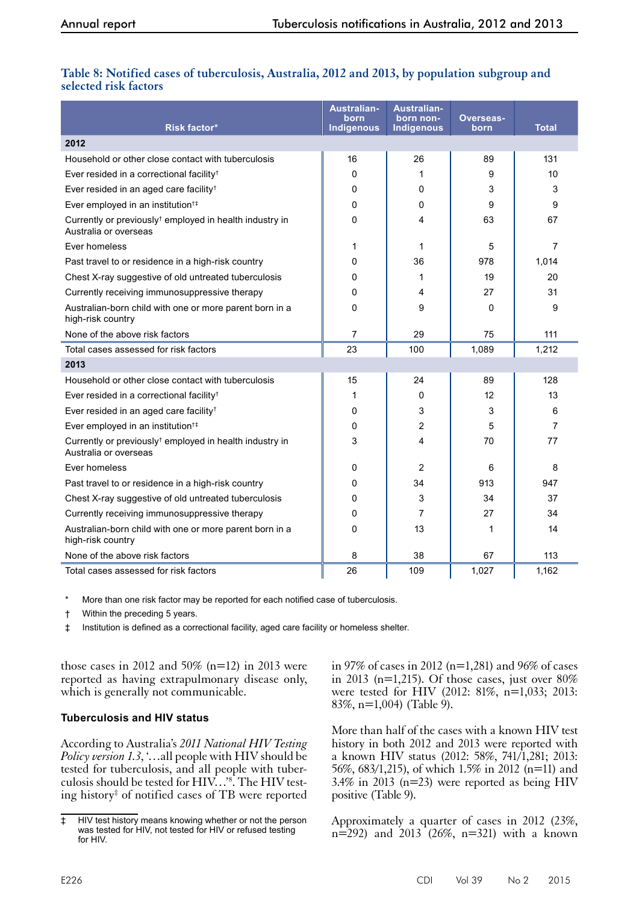## **Table 8: Notified cases of tuberculosis, Australia, 2012 and 2013, by population subgroup and selected risk factors**

| <b>Risk factor*</b>                                                                          | <b>Australian-</b><br>born<br>Indigenous | <b>Australian-</b><br>born non-<br><b>Indigenous</b> | Overseas-<br>born | <b>Total</b>   |
|----------------------------------------------------------------------------------------------|------------------------------------------|------------------------------------------------------|-------------------|----------------|
| 2012                                                                                         |                                          |                                                      |                   |                |
| Household or other close contact with tuberculosis                                           | 16                                       | 26                                                   | 89                | 131            |
| Ever resided in a correctional facility <sup>†</sup>                                         | 0                                        | 1                                                    | 9                 | 10             |
| Ever resided in an aged care facility <sup>†</sup>                                           | 0                                        | 0                                                    | 3                 | 3              |
| Ever employed in an institution <sup>†‡</sup>                                                | 0                                        | 0                                                    | 9                 | 9              |
| Currently or previously <sup>†</sup> employed in health industry in<br>Australia or overseas | 0                                        | 4                                                    | 63                | 67             |
| Ever homeless                                                                                | 1                                        | 1                                                    | 5                 | $\overline{7}$ |
| Past travel to or residence in a high-risk country                                           | 0                                        | 36                                                   | 978               | 1,014          |
| Chest X-ray suggestive of old untreated tuberculosis                                         | 0                                        | 1                                                    | 19                | 20             |
| Currently receiving immunosuppressive therapy                                                | 0                                        | 4                                                    | 27                | 31             |
| Australian-born child with one or more parent born in a<br>high-risk country                 | 0                                        | 9                                                    | 0                 | 9              |
| None of the above risk factors                                                               | $\overline{7}$                           | 29                                                   | 75                | 111            |
| Total cases assessed for risk factors                                                        | 23                                       | 100                                                  | 1,089             | 1,212          |
| 2013                                                                                         |                                          |                                                      |                   |                |
| Household or other close contact with tuberculosis                                           | 15                                       | 24                                                   | 89                | 128            |
| Ever resided in a correctional facility <sup>†</sup>                                         | 1                                        | 0                                                    | 12                | 13             |
| Ever resided in an aged care facility <sup>†</sup>                                           | 0                                        | 3                                                    | 3                 | 6              |
| Ever employed in an institution <sup>†‡</sup>                                                | 0                                        | 2                                                    | 5                 | $\overline{7}$ |
| Currently or previously <sup>†</sup> employed in health industry in<br>Australia or overseas | 3                                        | 4                                                    | 70                | 77             |
| Ever homeless                                                                                | 0                                        | $\overline{2}$                                       | 6                 | 8              |
| Past travel to or residence in a high-risk country                                           | 0                                        | 34                                                   | 913               | 947            |
| Chest X-ray suggestive of old untreated tuberculosis                                         | $\Omega$                                 | 3                                                    | 34                | 37             |
| Currently receiving immunosuppressive therapy                                                | 0                                        | 7                                                    | 27                | 34             |
| Australian-born child with one or more parent born in a<br>high-risk country                 | 0                                        | 13                                                   | 1                 | 14             |
| None of the above risk factors                                                               | 8                                        | 38                                                   | 67                | 113            |
| Total cases assessed for risk factors                                                        | 26                                       | 109                                                  | 1,027             | 1,162          |

More than one risk factor may be reported for each notified case of tuberculosis.

† Within the preceding 5 years.

‡ Institution is defined as a correctional facility, aged care facility or homeless shelter.

those cases in 2012 and 50% (n=12) in 2013 were reported as having extrapulmonary disease only, which is generally not communicable.

## **Tuberculosis and HIV status**

According to Australia's *2011 National HIV Testing Policy version 1.3*, '...all people with HIV should be tested for tuberculosis, and all people with tuberculosis should be tested for HIV…'8 . The HIV testing history‡ of notified cases of TB were reported in 97% of cases in 2012 (n=1,281) and 96% of cases in 2013 (n=1,215). Of those cases, just over  $80\%$ were tested for HIV (2012: 81%, n=1,033; 2013: 83%, n=1,004) (Table 9).

More than half of the cases with a known HIV test history in both 2012 and 2013 were reported with a known HIV status (2012: 58%, 741/1,281; 2013: 56%, 683/1,215), of which 1.5% in 2012 (n=11) and  $3.4\%$  in 2013 (n=23) were reported as being HIV positive (Table 9).

Approximately a quarter of cases in 2012 (23%,  $n=292$ ) and  $2013(26\%, n=321)$  with a known

<sup>‡</sup> HIV test history means knowing whether or not the person was tested for HIV, not tested for HIV or refused testing for HIV.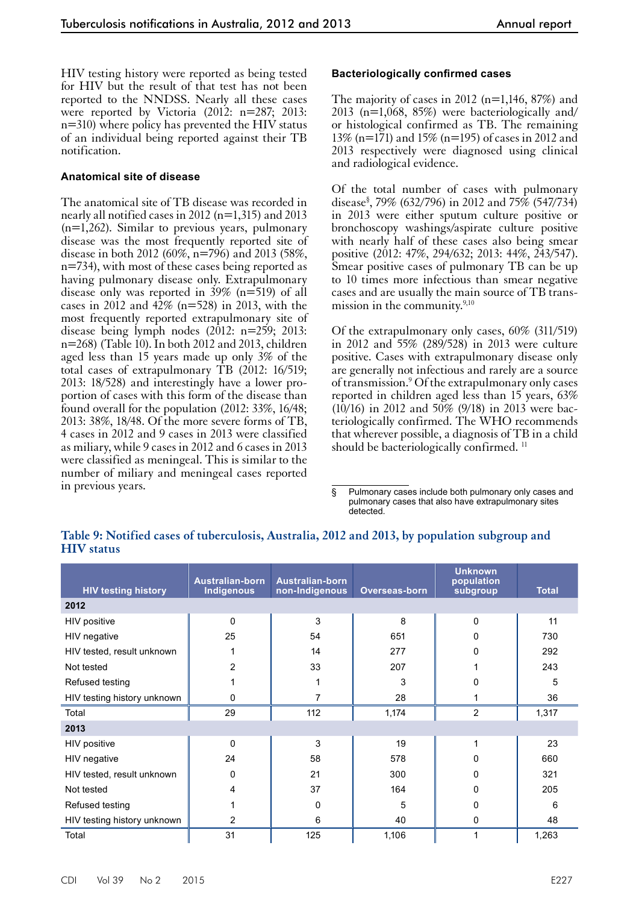HIV testing history were reported as being tested for HIV but the result of that test has not been reported to the NNDSS. Nearly all these cases were reported by Victoria (2012: n=287; 2013: n=310) where policy has prevented the HIV status of an individual being reported against their TB notification.

#### **Anatomical site of disease**

The anatomical site of TB disease was recorded in nearly all notified cases in 2012 (n=1,315) and 2013 (n=1,262). Similar to previous years, pulmonary disease was the most frequently reported site of disease in both 2012 (60%, n=796) and 2013 (58%, n=734), with most of these cases being reported as having pulmonary disease only. Extrapulmonary disease only was reported in 39% (n=519) of all cases in 2012 and  $4\overline{2}\%$  (n=528) in 2013, with the most frequently reported extrapulmonary site of disease being lymph nodes (2012: n=259; 2013: n=268) (Table 10). In both 2012 and 2013, children aged less than 15 years made up only 3% of the total cases of extrapulmonary TB (2012: 16/519; 2013: 18/528) and interestingly have a lower proportion of cases with this form of the disease than found overall for the population (2012: 33%, 16/48; 2013: 38%, 18/48. Of the more severe forms of TB, 4 cases in 2012 and 9 cases in 2013 were classified as miliary, while 9 cases in 2012 and 6 cases in 2013 were classified as meningeal. This is similar to the number of miliary and meningeal cases reported in previous years.

#### **Bacteriologically confirmed cases**

The majority of cases in 2012 ( $n=1,146, 87\%$ ) and 2013 (n=1,068, 85%) were bacteriologically and/ or histological confirmed as TB. The remaining 13% (n=171) and 15% (n=195) of cases in 2012 and 2013 respectively were diagnosed using clinical and radiological evidence.

Of the total number of cases with pulmonary disease§ , 79% (632/796) in 2012 and 75% (547/734) in 2013 were either sputum culture positive or bronchoscopy washings/aspirate culture positive with nearly half of these cases also being smear positive (2012: 47%, 294/632; 2013: 44%, 243/547). Smear positive cases of pulmonary TB can be up to 10 times more infectious than smear negative cases and are usually the main source of TB transmission in the community.<sup>9,10</sup>

Of the extrapulmonary only cases, 60% (311/519) in 2012 and 55% (289/528) in 2013 were culture positive. Cases with extrapulmonary disease only are generally not infectious and rarely are a source of transmission.<sup>9</sup> Of the extrapulmonary only cases reported in children aged less than 15 years, 63%  $(10/16)$  in 2012 and 50% (9/18) in 2013 were bacteriologically confirmed. The WHO recommends that wherever possible, a diagnosis of TB in a child should be bacteriologically confirmed.<sup>11</sup>

## **Table 9: Notified cases of tuberculosis, Australia, 2012 and 2013, by population subgroup and HIV status**

| <b>HIV testing history</b>  | <b>Australian-born</b><br>Indigenous | <b>Australian-born</b><br>non-Indigenous | Overseas-born | <b>Unknown</b><br>population<br>subgroup | <b>Total</b> |
|-----------------------------|--------------------------------------|------------------------------------------|---------------|------------------------------------------|--------------|
| 2012                        |                                      |                                          |               |                                          |              |
| HIV positive                | 0                                    | 3                                        | 8             | 0                                        | 11           |
| HIV negative                | 25                                   | 54                                       | 651           | 0                                        | 730          |
| HIV tested, result unknown  |                                      | 14                                       | 277           | 0                                        | 292          |
| Not tested                  | $\overline{2}$                       | 33                                       | 207           |                                          | 243          |
| Refused testing             |                                      |                                          | 3             | 0                                        | 5            |
| HIV testing history unknown | 0                                    | 7                                        | 28            |                                          | 36           |
| Total                       | 29                                   | 112                                      | 1,174         | $\overline{2}$                           | 1,317        |
| 2013                        |                                      |                                          |               |                                          |              |
| HIV positive                | $\Omega$                             | 3                                        | 19            |                                          | 23           |
| HIV negative                | 24                                   | 58                                       | 578           | 0                                        | 660          |
| HIV tested, result unknown  | $\Omega$                             | 21                                       | 300           | 0                                        | 321          |
| Not tested                  | 4                                    | 37                                       | 164           | 0                                        | 205          |
| Refused testing             |                                      | 0                                        | 5             | 0                                        | 6            |
| HIV testing history unknown | $\overline{2}$                       | 6                                        | 40            | 0                                        | 48           |
| Total                       | 31                                   | 125                                      | 1,106         |                                          | 1,263        |

<sup>§</sup> Pulmonary cases include both pulmonary only cases and pulmonary cases that also have extrapulmonary sites detected.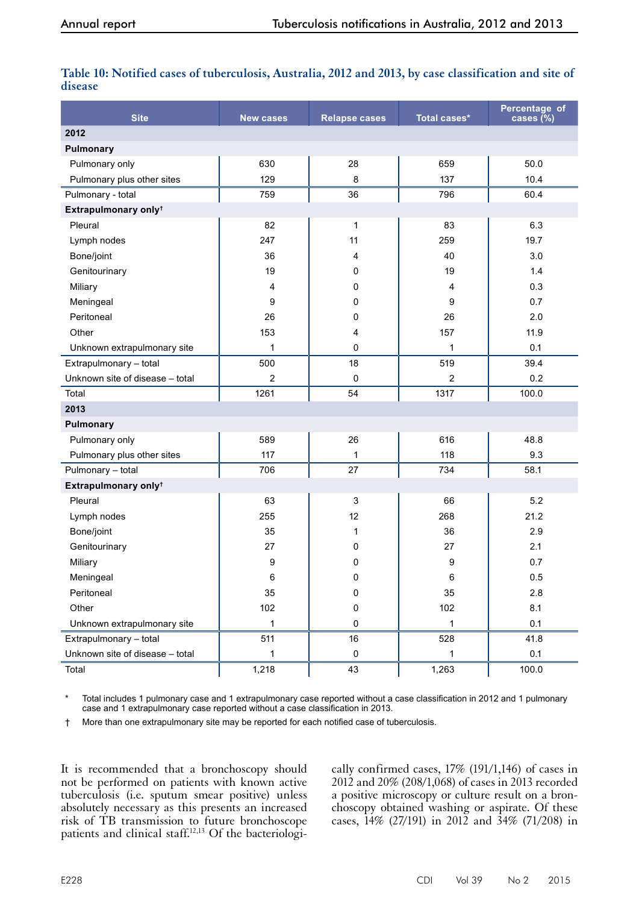| Table 10: Notified cases of tuberculosis, Australia, 2012 and 2013, by case classification and site of |  |
|--------------------------------------------------------------------------------------------------------|--|
| disease                                                                                                |  |

| <b>Site</b>                      | <b>New cases</b> | <b>Relapse cases</b> | Total cases* | Percentage of<br>cases $(\%)$ |
|----------------------------------|------------------|----------------------|--------------|-------------------------------|
| 2012                             |                  |                      |              |                               |
| Pulmonary                        |                  |                      |              |                               |
| Pulmonary only                   | 630              | 28                   | 659          | 50.0                          |
| Pulmonary plus other sites       | 129              | 8                    | 137          | 10.4                          |
| Pulmonary - total                | 759              | 36                   | 796          | 60.4                          |
| Extrapulmonary only <sup>+</sup> |                  |                      |              |                               |
| Pleural                          | 82               | 1                    | 83           | 6.3                           |
| Lymph nodes                      | 247              | 11                   | 259          | 19.7                          |
| Bone/joint                       | 36               | 4                    | 40           | 3.0                           |
| Genitourinary                    | 19               | 0                    | 19           | 1.4                           |
| Miliary                          | 4                | 0                    | 4            | 0.3                           |
| Meningeal                        | 9                | 0                    | 9            | 0.7                           |
| Peritoneal                       | 26               | 0                    | 26           | 2.0                           |
| Other                            | 153              | 4                    | 157          | 11.9                          |
| Unknown extrapulmonary site      | 1                | 0                    | 1            | 0.1                           |
| Extrapulmonary - total           | 500              | 18                   | 519          | 39.4                          |
| Unknown site of disease - total  | 2                | 0                    | 2            | 0.2                           |
| Total                            | 1261             | 54                   | 1317         | 100.0                         |
| 2013                             |                  |                      |              |                               |
| Pulmonary                        |                  |                      |              |                               |
| Pulmonary only                   | 589              | 26                   | 616          | 48.8                          |
| Pulmonary plus other sites       | 117              | 1                    | 118          | 9.3                           |
| Pulmonary - total                | 706              | 27                   | 734          | 58.1                          |
| Extrapulmonary only <sup>+</sup> |                  |                      |              |                               |
| Pleural                          | 63               | 3                    | 66           | 5.2                           |
| Lymph nodes                      | 255              | 12                   | 268          | 21.2                          |
| Bone/joint                       | 35               | 1                    | 36           | 2.9                           |
| Genitourinary                    | 27               | 0                    | 27           | 2.1                           |
| Miliary                          | 9                | 0                    | 9            | 0.7                           |
| Meningeal                        | 6                | 0                    | 6            | 0.5                           |
| Peritoneal                       | 35               | $\mathsf 0$          | 35           | 2.8                           |
| Other                            | 102              | 0                    | 102          | 8.1                           |
| Unknown extrapulmonary site      | 1                | 0                    | $\mathbf{1}$ | 0.1                           |
| Extrapulmonary - total           | 511              | 16                   | 528          | 41.8                          |
| Unknown site of disease - total  | 1                | $\pmb{0}$            | $\mathbf{1}$ | $0.1\,$                       |
| Total                            | 1,218            | 43                   | 1,263        | 100.0                         |

Total includes 1 pulmonary case and 1 extrapulmonary case reported without a case classification in 2012 and 1 pulmonary case and 1 extrapulmonary case reported without a case classification in 2013.

† More than one extrapulmonary site may be reported for each notified case of tuberculosis.

It is recommended that a bronchoscopy should not be performed on patients with known active tuberculosis (i.e. sputum smear positive) unless absolutely necessary as this presents an increased risk of TB transmission to future bronchoscope patients and clinical staff.<sup>12,13</sup> Of the bacteriologi-

cally confirmed cases, 17% (191/1,146) of cases in 2012 and 20% (208/1,068) of cases in 2013 recorded a positive microscopy or culture result on a bronchoscopy obtained washing or aspirate. Of these cases, 14% (27/191) in 2012 and 34% (71/208) in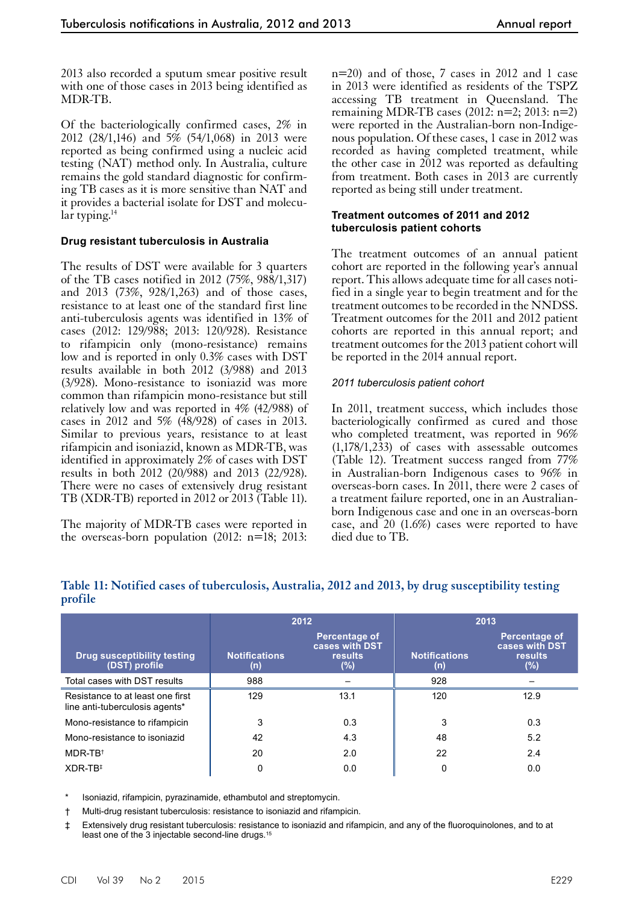2013 also recorded a sputum smear positive result with one of those cases in 2013 being identified as MDR-TB.

Of the bacteriologically confirmed cases, 2% in 2012 (28/1,146) and 5% (54/1,068) in 2013 were reported as being confirmed using a nucleic acid testing (NAT) method only. In Australia, culture remains the gold standard diagnostic for confirming TB cases as it is more sensitive than NAT and it provides a bacterial isolate for DST and molecular typing. $14$ 

## **Drug resistant tuberculosis in Australia**

The results of DST were available for 3 quarters of the TB cases notified in 2012 (75%, 988/1,317) and 2013 (73%, 928/1,263) and of those cases, resistance to at least one of the standard first line anti-tuberculosis agents was identified in 13% of cases (2012: 129/988; 2013: 120/928). Resistance to rifampicin only (mono-resistance) remains low and is reported in only 0.3% cases with DST results available in both 2012 (3/988) and 2013 (3/928). Mono-resistance to isoniazid was more common than rifampicin mono-resistance but still relatively low and was reported in 4% (42/988) of cases in 2012 and 5% (48/928) of cases in 2013. Similar to previous years, resistance to at least rifampicin and isoniazid, known as MDR-TB, was identified in approximately 2% of cases with DST results in both 2012 (20/988) and 2013 (22/928). There were no cases of extensively drug resistant TB (XDR-TB) reported in 2012 or 2013 (Table 11).

The majority of MDR-TB cases were reported in the overseas-born population (2012: n=18; 2013:

n=20) and of those, 7 cases in 2012 and 1 case in 2013 were identified as residents of the TSPZ accessing TB treatment in Queensland. The remaining MDR-TB cases (2012: n=2; 2013: n=2) were reported in the Australian-born non-Indigenous population. Of these cases, 1 case in 2012 was recorded as having completed treatment, while the other case in 2012 was reported as defaulting from treatment. Both cases in 2013 are currently reported as being still under treatment.

#### **Treatment outcomes of 2011 and 2012 tuberculosis patient cohorts**

The treatment outcomes of an annual patient cohort are reported in the following year's annual report. This allows adequate time for all cases notified in a single year to begin treatment and for the treatment outcomes to be recorded in the NNDSS. Treatment outcomes for the 2011 and 2012 patient cohorts are reported in this annual report; and treatment outcomes for the 2013 patient cohort will be reported in the 2014 annual report.

## *2011 tuberculosis patient cohort*

In 2011, treatment success, which includes those bacteriologically confirmed as cured and those who completed treatment, was reported in 96% (1,178/1,233) of cases with assessable outcomes (Table 12). Treatment success ranged from 77% in Australian-born Indigenous cases to 96% in overseas-born cases. In 2011, there were 2 cases of a treatment failure reported, one in an Australianborn Indigenous case and one in an overseas-born case, and 20 (1.6%) cases were reported to have died due to TB.

|                                                                    |                             | 2012                                                            | 2013                        |                                                          |  |
|--------------------------------------------------------------------|-----------------------------|-----------------------------------------------------------------|-----------------------------|----------------------------------------------------------|--|
| <b>Drug susceptibility testing</b><br>(DST) profile                | <b>Notifications</b><br>(n) | <b>Percentage of</b><br>cases with DST<br><b>results</b><br>(%) | <b>Notifications</b><br>(n) | <b>Percentage of</b><br>cases with DST<br>results<br>(%) |  |
| Total cases with DST results                                       | 988                         |                                                                 | 928                         |                                                          |  |
| Resistance to at least one first<br>line anti-tuberculosis agents* | 129                         | 13.1                                                            | 120                         | 12.9                                                     |  |
| Mono-resistance to rifampicin                                      | 3                           | 0.3                                                             | 3                           | 0.3                                                      |  |
| Mono-resistance to isoniazid                                       | 42                          | 4.3                                                             | 48                          | 5.2                                                      |  |
| $MDR-TR^{\dagger}$                                                 | 20                          | 2.0                                                             | 22                          | 2.4                                                      |  |
| $XDR-TR^+$                                                         | 0                           | 0.0                                                             | 0                           | 0.0                                                      |  |

#### **Table 11: Notified cases of tuberculosis, Australia, 2012 and 2013, by drug susceptibility testing profile**

Isoniazid, rifampicin, pyrazinamide, ethambutol and streptomycin.

† Multi-drug resistant tuberculosis: resistance to isoniazid and rifampicin.

‡ Extensively drug resistant tuberculosis: resistance to isoniazid and rifampicin, and any of the fluoroquinolones, and to at least one of the 3 injectable second-line drugs.<sup>15</sup>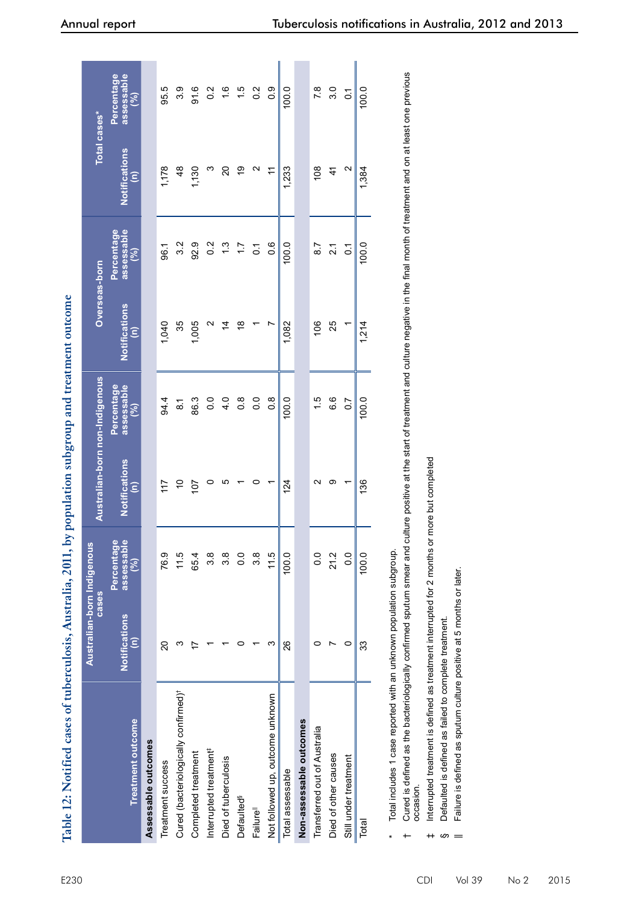| $ -12$ 0011 kg nomination curves<br>じょうせい アンス・ディング アイディー       |
|----------------------------------------------------------------|
|                                                                |
|                                                                |
|                                                                |
| 13114414<br><b>Anctrolle</b>                                   |
|                                                                |
|                                                                |
| the 12: Notified cases of fuberculosis.                        |
|                                                                |
|                                                                |
|                                                                |
|                                                                |
|                                                                |
| Table 12: Notifi<br><b>THE REAL PROPERTY AND INTERNATIONAL</b> |

| Table 12: Notified cases of tuberculosis, Australia, 2011, by population subgroup and treatment outcome                                                                                                             |                                              |                                        |                                       |                                 |                                                           |                                 |                                                           |                                 |
|---------------------------------------------------------------------------------------------------------------------------------------------------------------------------------------------------------------------|----------------------------------------------|----------------------------------------|---------------------------------------|---------------------------------|-----------------------------------------------------------|---------------------------------|-----------------------------------------------------------|---------------------------------|
|                                                                                                                                                                                                                     | <b>Cases</b>                                 | Australian-born Indigenous             | Australian-born non-Indigenous        |                                 | Overseas-born                                             |                                 |                                                           | Total cases*                    |
| <b>Treatment outcome</b>                                                                                                                                                                                            | <b>Notifications</b><br>$\widehat{\epsilon}$ | <b>Percentage</b><br>assessable<br>(%) | Notifications<br>$\widehat{\epsilon}$ | assessable<br>Percentage<br>(%) | <b>Notifications</b><br>$\widehat{\boldsymbol{\epsilon}}$ | assessable<br>Percentage<br>(%) | <b>Notifications</b><br>$\widehat{\boldsymbol{\epsilon}}$ | Percentage<br>assessable<br>(%) |
| Assessable outcomes                                                                                                                                                                                                 |                                              |                                        |                                       |                                 |                                                           |                                 |                                                           |                                 |
| Treatment success                                                                                                                                                                                                   | $\Omega$                                     | 76.9                                   | 117                                   | 94.4                            | 1,040                                                     | 96.1                            | 1,178                                                     | 95.5                            |
| Cured (bacteriologically confirmed) <sup>†</sup>                                                                                                                                                                    | ო                                            | 11.5                                   | ő                                     | $\overline{8}$                  | 35                                                        | 3.2                             | $\frac{8}{3}$                                             | 3.9                             |
| Completed treatment                                                                                                                                                                                                 |                                              | 65.4                                   | $\overline{10}$                       | 86.3                            | 1,005                                                     | 92.9                            | 1,130                                                     | 91.6                            |
| Interrupted treatment <sup>#</sup>                                                                                                                                                                                  |                                              | 3.8                                    | 0                                     | $\overline{0}$ .                | $\mathbf{\sim}$                                           | $0.\overline{2}$                | ო                                                         | $\frac{2}{3}$                   |
| Died of tuberculosis                                                                                                                                                                                                |                                              | $3.\overline{8}$                       | ပ                                     | 4.0                             | $\overline{4}$                                            | 1.3                             | 20                                                        | 1.6                             |
| Defaulted <sup>§</sup>                                                                                                                                                                                              | $\circ$                                      | 0.0                                    |                                       | $\frac{8}{2}$                   | $\frac{8}{5}$                                             | $\overline{11}$                 | စ္                                                        | 1.5                             |
| Failure <sup>ll</sup>                                                                                                                                                                                               |                                              | 3.8                                    | 0                                     | $\overline{0}$ .                |                                                           | $\overline{c}$                  | $\sim$                                                    | 0.2                             |
| Not followed up, outcome unknown                                                                                                                                                                                    | ω                                            | 11.5                                   |                                       | $\frac{8}{2}$                   | L                                                         | 0.6                             | Ξ                                                         | $\overline{0}$ .                |
| Total assessable                                                                                                                                                                                                    | 26                                           | 100.0                                  | 124                                   | 100.0                           | 1,082                                                     | 100.0                           | 1,233                                                     | 100.0                           |
| Non-assessable outcomes                                                                                                                                                                                             |                                              |                                        |                                       |                                 |                                                           |                                 |                                                           |                                 |
| Transferred out of Australia                                                                                                                                                                                        | 0                                            | $\overline{0}$ .                       | ∾                                     | 1.5                             | 106                                                       | $\overline{8.7}$                | 108                                                       | 7.8                             |
| Died of other causes                                                                                                                                                                                                | Ľ                                            | 21.2                                   | တ                                     | 6.6                             | 25                                                        | $\overline{21}$                 | $\ddot{4}$                                                | 3.0                             |
| Still under treatment                                                                                                                                                                                               | $\circ$                                      | $\overline{0}$                         |                                       | $\overline{0}$                  |                                                           | $\overline{0}$                  | $\mathbf{\Omega}$                                         | $\overline{S}$                  |
| Total                                                                                                                                                                                                               | 33                                           | 100.0                                  | 136                                   | 100.0                           | 1,214                                                     | 100.0                           | 1,384                                                     | 100.0                           |
| Total includes 1 case reported with an unknown population subgroup.                                                                                                                                                 |                                              |                                        |                                       |                                 |                                                           |                                 |                                                           |                                 |
| Cured is defined as the bacteriologically confirmed sputum smear and culture positive at the start of treatment and culture negative in the final month of treatment and on at least one previous<br>occasion.<br>+ |                                              |                                        |                                       |                                 |                                                           |                                 |                                                           |                                 |
| Interrupted treatment is defined as treatment interrupted for 2 months or more but completed<br>$^{\rm +}$                                                                                                          |                                              |                                        |                                       |                                 |                                                           |                                 |                                                           |                                 |
| Defaulted is defined as failed to complete treatment.<br>ဖ                                                                                                                                                          |                                              |                                        |                                       |                                 |                                                           |                                 |                                                           |                                 |
| Failure is defined as sputum culture positive at 5 months or later.                                                                                                                                                 |                                              |                                        |                                       |                                 |                                                           |                                 |                                                           |                                 |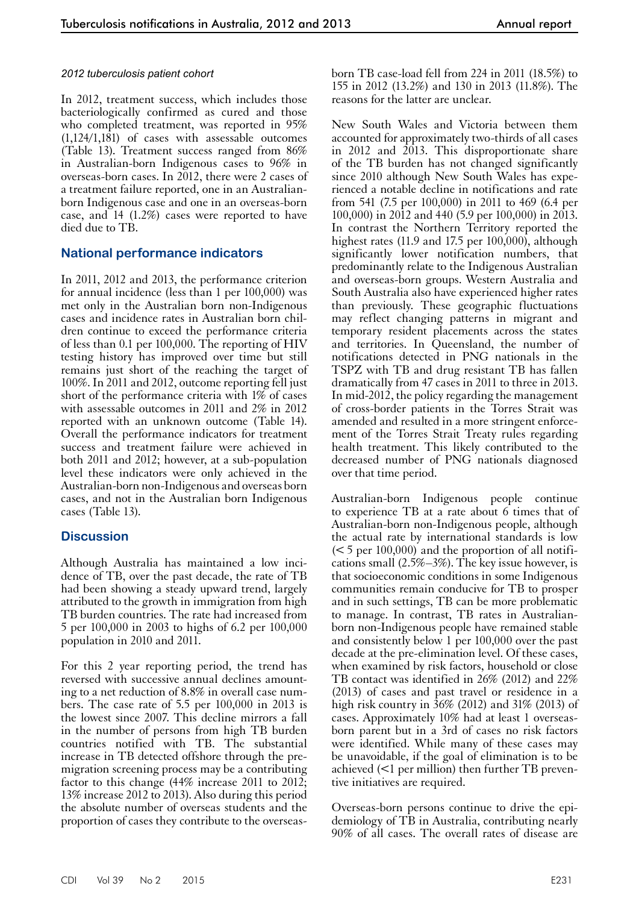#### *2012 tuberculosis patient cohort*

In 2012, treatment success, which includes those bacteriologically confirmed as cured and those who completed treatment, was reported in 95% (1,124/1,181) of cases with assessable outcomes (Table 13). Treatment success ranged from 86% in Australian-born Indigenous cases to 96% in overseas-born cases. In 2012, there were 2 cases of a treatment failure reported, one in an Australianborn Indigenous case and one in an overseas-born case, and 14 (1.2%) cases were reported to have died due to TB.

## **National performance indicators**

In 2011, 2012 and 2013, the performance criterion for annual incidence (less than 1 per 100,000) was met only in the Australian born non-Indigenous cases and incidence rates in Australian born children continue to exceed the performance criteria of less than 0.1 per 100,000. The reporting of HIV testing history has improved over time but still remains just short of the reaching the target of 100%. In 2011 and 2012, outcome reporting fell just short of the performance criteria with 1% of cases with assessable outcomes in 2011 and 2% in 2012 reported with an unknown outcome (Table 14). Overall the performance indicators for treatment success and treatment failure were achieved in both 2011 and 2012; however, at a sub-population level these indicators were only achieved in the Australian-born non-Indigenous and overseas born cases, and not in the Australian born Indigenous cases (Table 13).

# **Discussion**

Although Australia has maintained a low inci- dence of TB, over the past decade, the rate of TB had been showing a steady upward trend, largely attributed to the growth in immigration from high TB burden countries. The rate had increased from 5 per 100,000 in 2003 to highs of 6.2 per 100,000 population in 2010 and 2011.

For this 2 year reporting period, the trend has reversed with successive annual declines amounting to a net reduction of 8.8% in overall case numbers. The case rate of 5.5 per 100,000 in 2013 is the lowest since 2007. This decline mirrors a fall in the number of persons from high TB burden countries notified with TB. The substantial increase in TB detected offshore through the premigration screening process may be a contributing factor to this change  $(44\%$  increase 2011 to 2012; 13% increase 2012 to 2013). Also during this period the absolute number of overseas students and the proportion of cases they contribute to the overseasborn TB case-load fell from 224 in 2011 (18.5%) to 155 in 2012 (13.2%) and 130 in 2013 (11.8%). The reasons for the latter are unclear.

New South Wales and Victoria between them accounted for approximately two-thirds of all cases in 2012 and 2013. This disproportionate share of the TB burden has not changed significantly since 2010 although New South Wales has experienced a notable decline in notifications and rate from 541 (7.5 per 100,000) in 2011 to 469 (6.4 per 100,000) in 2012 and 440 (5.9 per 100,000) in 2013. In contrast the Northern Territory reported the highest rates (11.9 and 17.5 per 100,000), although significantly lower notification numbers, that predominantly relate to the Indigenous Australian and overseas-born groups. Western Australia and South Australia also have experienced higher rates than previously. These geographic fluctuations may reflect changing patterns in migrant and temporary resident placements across the states and territories. In Queensland, the number of notifications detected in PNG nationals in the TSPZ with TB and drug resistant TB has fallen dramatically from 47 cases in 2011 to three in 2013. In mid-2012, the policy regarding the management of cross-border patients in the Torres Strait was amended and resulted in a more stringent enforcement of the Torres Strait Treaty rules regarding health treatment. This likely contributed to the decreased number of PNG nationals diagnosed over that time period.

Australian-born Indigenous people continue to experience TB at a rate about 6 times that of Australian-born non-Indigenous people, although the actual rate by international standards is low ( $\leq$  5 per 100,000) and the proportion of all notifications small (2.5%–3%). The key issue however, is that socioeconomic conditions in some Indigenous communities remain conducive for TB to prosper and in such settings, TB can be more problematic to manage. In contrast, TB rates in Australianborn non-Indigenous people have remained stable and consistently below 1 per 100,000 over the past decade at the pre-elimination level. Of these cases, when examined by risk factors, household or close TB contact was identified in 26% (2012) and 22% (2013) of cases and past travel or residence in a high risk country in 36% (2012) and 31% (2013) of cases. Approximately 10% had at least 1 overseasborn parent but in a 3rd of cases no risk factors were identified. While many of these cases may be unavoidable, if the goal of elimination is to be achieved (<1 per million) then further TB preventive initiatives are required.

Overseas-born persons continue to drive the epidemiology of TB in Australia, contributing nearly 90% of all cases. The overall rates of disease are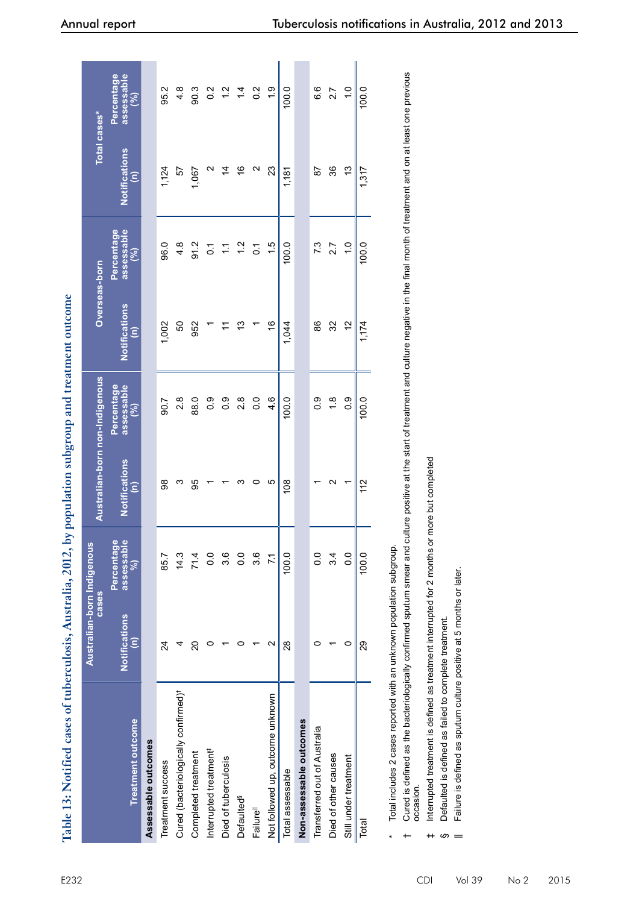| . 2012, by populatio                                                  |
|-----------------------------------------------------------------------|
|                                                                       |
|                                                                       |
|                                                                       |
|                                                                       |
|                                                                       |
|                                                                       |
|                                                                       |
| $\mathbf{A}$ is the full of $\mathbf{A}$                              |
|                                                                       |
|                                                                       |
| Notified cases of tuberculosis                                        |
|                                                                       |
| <b>ME 19: INOUILLY</b>                                                |
|                                                                       |
|                                                                       |
| ミニード ヒアニアア 正<br>$\overline{\phantom{a}}$ and $\overline{\phantom{a}}$ |

| Table 13: Notified cases of tuberculosis, Australia, 2012, ł                                                  |                                              |                                     | by population subgroup and treatment outcome                                                                                 |                                 |                           |                                 |                                              |                                 |
|---------------------------------------------------------------------------------------------------------------|----------------------------------------------|-------------------------------------|------------------------------------------------------------------------------------------------------------------------------|---------------------------------|---------------------------|---------------------------------|----------------------------------------------|---------------------------------|
|                                                                                                               |                                              | Australian-born Indigenous<br>cases | Australian-born non-Indigenous                                                                                               |                                 | Overseas-born             |                                 | Total cases*                                 |                                 |
| <b>Treatment outcome</b>                                                                                      | <b>Notifications</b><br>$\widehat{\epsilon}$ | assessable<br>Percentag<br>8        | Notifications<br>$\widehat{\boldsymbol{\epsilon}}$                                                                           | assessable<br>Percentage<br>(%) | <b>Notifications</b><br>έ | assessable<br>Percentage<br>(%) | <b>Notifications</b><br>$\widehat{\epsilon}$ | Percentage<br>assessable<br>(%) |
| Assessable outcomes                                                                                           |                                              |                                     |                                                                                                                              |                                 |                           |                                 |                                              |                                 |
| Treatment success                                                                                             | $\overline{2}$                               | 85.7                                | 86                                                                                                                           | 506                             | 1,002                     | 96.0                            | 1,124                                        | 95.2                            |
| Cured (bacteriologically confirmed) <sup>†</sup>                                                              | 4                                            | 14.3                                | ო                                                                                                                            | 2.8                             | 50                        | $4.\overline{8}$                | 57                                           | $\frac{4}{3}$                   |
| Completed treatment                                                                                           | ຊ                                            | 71.4                                | 95                                                                                                                           | 88.0                            | 952                       | 91.2                            | 1,067                                        | 90.3                            |
| Interrupted treatment <sup>#</sup>                                                                            | 0                                            | 0.0                                 |                                                                                                                              | $\frac{0}{2}$                   |                           | $\overline{0}$ :                | $\mathbf{\Omega}$                            | $0.\overline{2}$                |
| Died of tuberculosis                                                                                          |                                              | 3.6                                 |                                                                                                                              | $\frac{0}{2}$                   | H                         | $\sum$                          | $\overline{4}$                               | 1.2                             |
| Defaulted <sup>§</sup>                                                                                        | 0                                            | 0.0                                 | က                                                                                                                            | 2.8                             | 13                        | $1.2$                           | $\frac{6}{5}$                                | $\frac{4}{4}$                   |
| Failure <sup>ll</sup>                                                                                         |                                              | 3.6                                 | 0                                                                                                                            | 0.0                             |                           | $\overline{C}$                  | N                                            | $0.\overline{2}$                |
| Not followed up, outcome unknown                                                                              | $\sim$                                       | $\overline{71}$                     | Ю                                                                                                                            | 4.6                             | $\frac{6}{5}$             | 1.5                             | 23                                           | $\frac{0}{1}$                   |
| Total assessable                                                                                              | $\frac{8}{2}$                                | 100.0                               | 108                                                                                                                          | 100.0                           | 1,044                     | 100.0                           | 1,181                                        | 100.0                           |
| Non-assessable outcomes                                                                                       |                                              |                                     |                                                                                                                              |                                 |                           |                                 |                                              |                                 |
| Transferred out of Australia                                                                                  | 0                                            | $\overline{0}$ .                    |                                                                                                                              | $\frac{0}{2}$                   | 86                        | 7.3                             | 59                                           | 6.6                             |
| Died of other causes                                                                                          |                                              | 3.4                                 | $\sim$                                                                                                                       | 1.8                             | 32                        | 2.7                             | 36                                           | 2.7                             |
| Still under treatment                                                                                         | $\circ$                                      | 0.0                                 | ۳                                                                                                                            | 0.9                             | 57                        | $\frac{0}{1}$                   | 13                                           | $\frac{0}{1}$                   |
| Total                                                                                                         | 29                                           | 100.0                               | 112                                                                                                                          | 100.0                           | 1,174                     | 100.0                           | 1,317                                        | 100.0                           |
| Total includes 2 cases reported with an unknown population subgroup.                                          |                                              |                                     |                                                                                                                              |                                 |                           |                                 |                                              |                                 |
| Cured is defined as the bacteriologically confirmed sputum smear and<br>occasion.<br>$\overline{\phantom{0}}$ |                                              |                                     | culture positive at the start of treatment and culture negative in the final month of treatment and on at least one previous |                                 |                           |                                 |                                              |                                 |
| Interrupted treatment is defined as treatment interrupted for 2 months or more but completed<br>$^{\rm +}$    |                                              |                                     |                                                                                                                              |                                 |                           |                                 |                                              |                                 |
| Defaulted is defined as failed to complete treatment.<br>ဖ                                                    |                                              |                                     |                                                                                                                              |                                 |                           |                                 |                                              |                                 |
| Failure is defined as sputum culture positive at 5 months or later.                                           |                                              |                                     |                                                                                                                              |                                 |                           |                                 |                                              |                                 |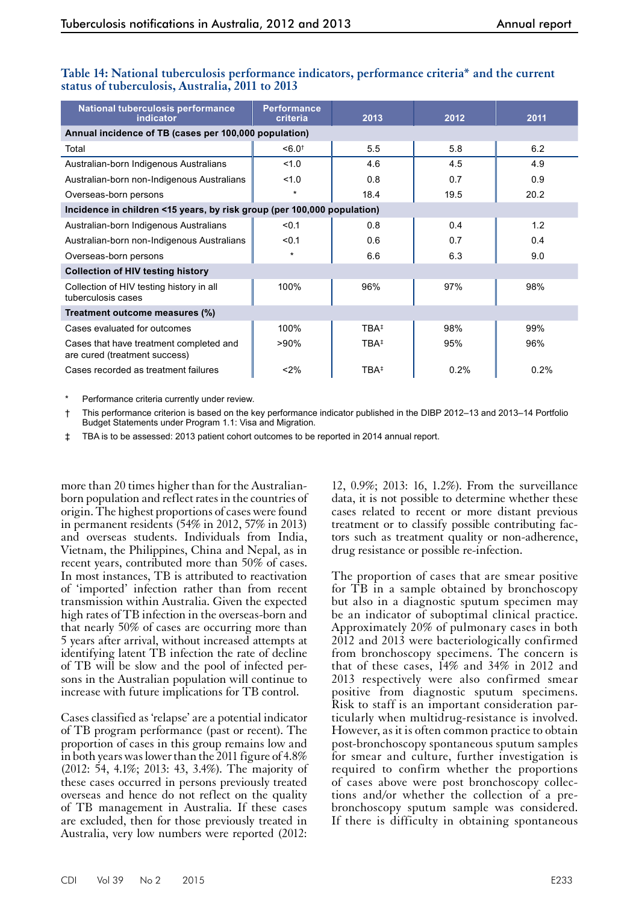| National tuberculosis performance<br>indicator                           | <b>Performance</b><br>criteria | 2013             | 2012 | 2011 |  |
|--------------------------------------------------------------------------|--------------------------------|------------------|------|------|--|
| Annual incidence of TB (cases per 100,000 population)                    |                                |                  |      |      |  |
| Total                                                                    | $< 6.0^+$                      | 5.5              | 5.8  | 6.2  |  |
| Australian-born Indigenous Australians                                   | 1.0                            | 4.6              | 4.5  | 4.9  |  |
| Australian-born non-Indigenous Australians                               | 1.0                            | 0.8              | 0.7  | 0.9  |  |
| Overseas-born persons                                                    | $\star$                        | 18.4             | 19.5 | 20.2 |  |
| Incidence in children <15 years, by risk group (per 100,000 population)  |                                |                  |      |      |  |
| Australian-born Indigenous Australians                                   | < 0.1                          | 0.8              | 0.4  | 1.2  |  |
| Australian-born non-Indigenous Australians                               | $0.1$                          | 0.6              | 0.7  | 0.4  |  |
| Overseas-born persons                                                    | $\star$                        | 6.6              | 6.3  | 9.0  |  |
| <b>Collection of HIV testing history</b>                                 |                                |                  |      |      |  |
| Collection of HIV testing history in all<br>tuberculosis cases           | 100%                           | 96%              | 97%  | 98%  |  |
| Treatment outcome measures (%)                                           |                                |                  |      |      |  |
| Cases evaluated for outcomes                                             | 100%                           | TBA <sup>‡</sup> | 98%  | 99%  |  |
| Cases that have treatment completed and<br>are cured (treatment success) | >90%                           | TBA <sup>‡</sup> | 95%  | 96%  |  |
| Cases recorded as treatment failures                                     | < 2%                           | TBA <sup>‡</sup> | 0.2% | 0.2% |  |

## **Table 14: National tuberculosis performance indicators, performance criteria\* and the current status of tuberculosis, Australia, 2011 to 2013**

Performance criteria currently under review.

† This performance criterion is based on the key performance indicator published in the DIBP 2012–13 and 2013–14 Portfolio Budget Statements under Program 1.1: Visa and Migration.

‡ TBA is to be assessed: 2013 patient cohort outcomes to be reported in 2014 annual report.

more than 20 times higher than for the Australianborn population and reflect rates in the countries of origin. The highest proportions of cases were found in permanent residents (54% in 2012, 57% in 2013) and overseas students. Individuals from India, Vietnam, the Philippines, China and Nepal, as in recent years, contributed more than 50% of cases. In most instances, TB is attributed to reactivation of 'imported' infection rather than from recent transmission within Australia. Given the expected high rates of TB infection in the overseas-born and that nearly 50% of cases are occurring more than 5 years after arrival, without increased attempts at identifying latent TB infection the rate of decline of TB will be slow and the pool of infected persons in the Australian population will continue to increase with future implications for TB control.

Cases classified as 'relapse' are a potential indicator of TB program performance (past or recent). The proportion of cases in this group remains low and in both years was lower than the 2011 figure of 4.8% (2012: 54, 4.1%; 2013: 43, 3.4%). The majority of these cases occurred in persons previously treated overseas and hence do not reflect on the quality of TB management in Australia. If these cases are excluded, then for those previously treated in Australia, very low numbers were reported (2012:

12, 0.9%; 2013: 16, 1.2%). From the surveillance data, it is not possible to determine whether these cases related to recent or more distant previous treatment or to classify possible contributing fac-<br>tors such as treatment quality or non-adherence, drug resistance or possible re-infection.

The proportion of cases that are smear positive for TB in a sample obtained by bronchoscopy but also in a diagnostic sputum specimen may be an indicator of suboptimal clinical practice. Approximately 20% of pulmonary cases in both 2012 and 2013 were bacteriologically confirmed from bronchoscopy specimens. The concern is that of these cases, 14% and 34% in 2012 and 2013 respectively were also confirmed smear positive from diagnostic sputum specimens. Risk to staff is an important consideration particularly when multidrug-resistance is involved. However, as it is often common practice to obtain post-bronchoscopy spontaneous sputum samples for smear and culture, further investigation is required to confirm whether the proportions of cases above were post bronchoscopy collections and/or whether the collection of a prebronchoscopy sputum sample was considered. If there is difficulty in obtaining spontaneous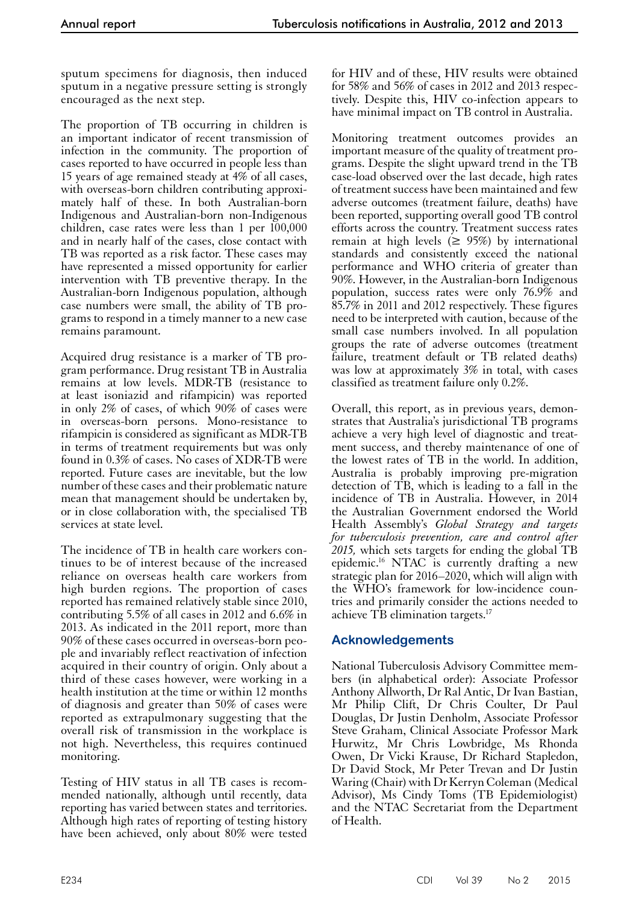sputum specimens for diagnosis, then induced sputum in a negative pressure setting is strongly encouraged as the next step.

The proportion of TB occurring in children is an important indicator of recent transmission of infection in the community. The proportion of cases reported to have occurred in people less than 15 years of age remained steady at 4% of all cases, with overseas-born children contributing approximately half of these. In both Australian-born Indigenous and Australian-born non-Indigenous children, case rates were less than 1 per 100,000 and in nearly half of the cases, close contact with TB was reported as a risk factor. These cases may have represented a missed opportunity for earlier intervention with TB preventive therapy. In the Australian-born Indigenous population, although case numbers were small, the ability of TB programs to respond in a timely manner to a new case remains paramount.

Acquired drug resistance is a marker of TB program performance. Drug resistant TB in Australia remains at low levels. MDR-TB (resistance to at least isoniazid and rifampicin) was reported in only 2% of cases, of which 90% of cases were in overseas-born persons. Mono-resistance to rifampicin is considered as significant as MDR-TB in terms of treatment requirements but was only found in 0.3% of cases. No cases of XDR-TB were reported. Future cases are inevitable, but the low number of these cases and their problematic nature mean that management should be undertaken by, or in close collaboration with, the specialised TB services at state level.

The incidence of TB in health care workers con- tinues to be of interest because of the increased reliance on overseas health care workers from high burden regions. The proportion of cases reported has remained relatively stable since 2010, contributing 5.5% of all cases in 2012 and 6.6% in 2013. As indicated in the 2011 report, more than 90% of these cases occurred in overseas-born people and invariably reflect reactivation of infection acquired in their country of origin. Only about a third of these cases however, were working in a health institution at the time or within 12 months of diagnosis and greater than 50% of cases were reported as extrapulmonary suggesting that the overall risk of transmission in the workplace is not high. Nevertheless, this requires continued monitoring.

Testing of HIV status in all TB cases is recommended nationally, although until recently, data reporting has varied between states and territories. Although high rates of reporting of testing history have been achieved, only about 80% were tested

for HIV and of these, HIV results were obtained for 58% and 56% of cases in 2012 and 2013 respectively. Despite this, HIV co-infection appears to have minimal impact on TB control in Australia.

Monitoring treatment outcomes provides an important measure of the quality of treatment programs. Despite the slight upward trend in the TB case-load observed over the last decade, high rates of treatment success have been maintained and few adverse outcomes (treatment failure, deaths) have been reported, supporting overall good TB control efforts across the country. Treatment success rates remain at high levels ( $\geq$  95%) by international standards and consistently exceed the national performance and WHO criteria of greater than 90%. However, in the Australian-born Indigenous population, success rates were only 76.9% and 85.7% in 2011 and 2012 respectively. These figures need to be interpreted with caution, because of the small case numbers involved. In all population groups the rate of adverse outcomes (treatment failure, treatment default or TB related deaths) was low at approximately 3% in total, with cases classified as treatment failure only 0.2%.

Overall, this report, as in previous years, demonstrates that Australia's jurisdictional TB programs achieve a very high level of diagnostic and treatment success, and thereby maintenance of one of the lowest rates of TB in the world. In addition, Australia is probably improving pre-migration detection of TB, which is leading to a fall in the incidence of TB in Australia. However, in 2014 the Australian Government endorsed the World Health Assembly's *Global Strategy and targets for tuberculosis prevention, care and control after 2015,* which sets targets for ending the global TB epidemic.16 NTAC is currently drafting a new strategic plan for 2016–2020, which will align with the WHO's framework for low-incidence coun- tries and primarily consider the actions needed to achieve TB elimination targets.<sup>17</sup>

# **Acknowledgements**

National Tuberculosis Advisory Committee members (in alphabetical order): Associate Professor Anthony Allworth, Dr Ral Antic, Dr Ivan Bastian, Mr Philip Clift, Dr Chris Coulter, Dr Paul Douglas, Dr Justin Denholm, Associate Professor Steve Graham, Clinical Associate Professor Mark Hurwitz, Mr Chris Lowbridge, Ms Rhonda Owen, Dr Vicki Krause, Dr Richard Stapledon, Dr David Stock, Mr Peter Trevan and Dr Justin Waring (Chair) with Dr Kerryn Coleman (Medical Advisor), Ms Cindy Toms (TB Epidemiologist) and the NTAC Secretariat from the Department of Health.